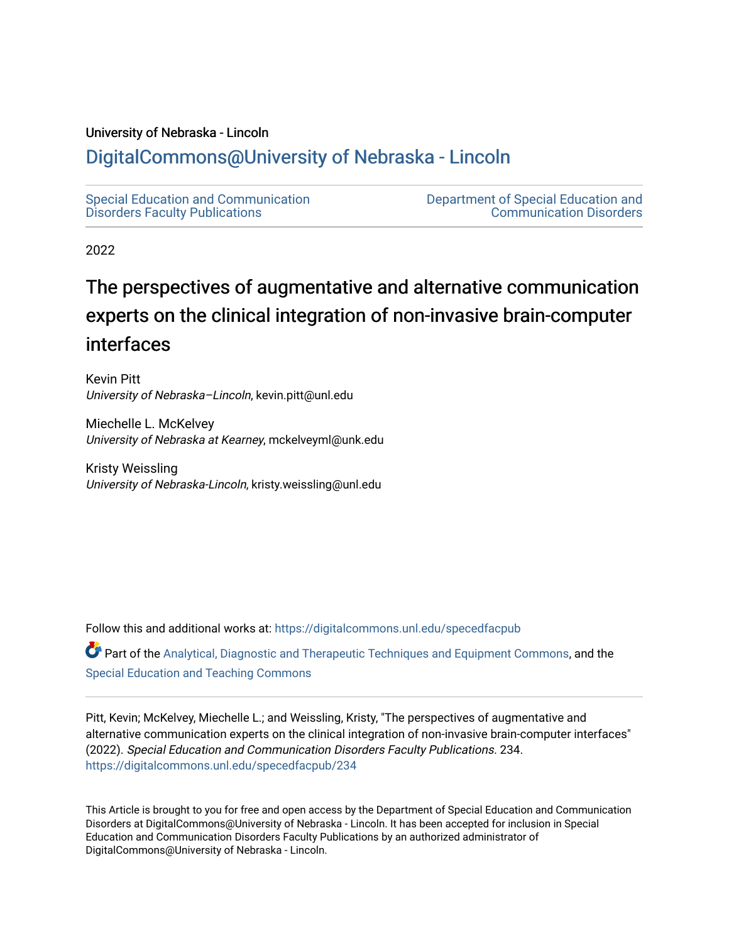# University of Nebraska - Lincoln

# [DigitalCommons@University of Nebraska - Lincoln](https://digitalcommons.unl.edu/)

[Special Education and Communication](https://digitalcommons.unl.edu/specedfacpub)  [Disorders Faculty Publications](https://digitalcommons.unl.edu/specedfacpub) 

[Department of Special Education and](https://digitalcommons.unl.edu/spec_ed)  [Communication Disorders](https://digitalcommons.unl.edu/spec_ed) 

2022

# The perspectives of augmentative and alternative communication experts on the clinical integration of non-invasive brain-computer interfaces

Kevin Pitt University of Nebraska-Lincoln, kevin.pitt@unl.edu

Miechelle L. McKelvey University of Nebraska at Kearney, mckelveyml@unk.edu

Kristy Weissling University of Nebraska-Lincoln, kristy.weissling@unl.edu

Follow this and additional works at: [https://digitalcommons.unl.edu/specedfacpub](https://digitalcommons.unl.edu/specedfacpub?utm_source=digitalcommons.unl.edu%2Fspecedfacpub%2F234&utm_medium=PDF&utm_campaign=PDFCoverPages) 

Part of the [Analytical, Diagnostic and Therapeutic Techniques and Equipment Commons](http://network.bepress.com/hgg/discipline/899?utm_source=digitalcommons.unl.edu%2Fspecedfacpub%2F234&utm_medium=PDF&utm_campaign=PDFCoverPages), and the [Special Education and Teaching Commons](http://network.bepress.com/hgg/discipline/801?utm_source=digitalcommons.unl.edu%2Fspecedfacpub%2F234&utm_medium=PDF&utm_campaign=PDFCoverPages) 

Pitt, Kevin; McKelvey, Miechelle L.; and Weissling, Kristy, "The perspectives of augmentative and alternative communication experts on the clinical integration of non-invasive brain-computer interfaces" (2022). Special Education and Communication Disorders Faculty Publications. 234. [https://digitalcommons.unl.edu/specedfacpub/234](https://digitalcommons.unl.edu/specedfacpub/234?utm_source=digitalcommons.unl.edu%2Fspecedfacpub%2F234&utm_medium=PDF&utm_campaign=PDFCoverPages) 

This Article is brought to you for free and open access by the Department of Special Education and Communication Disorders at DigitalCommons@University of Nebraska - Lincoln. It has been accepted for inclusion in Special Education and Communication Disorders Faculty Publications by an authorized administrator of DigitalCommons@University of Nebraska - Lincoln.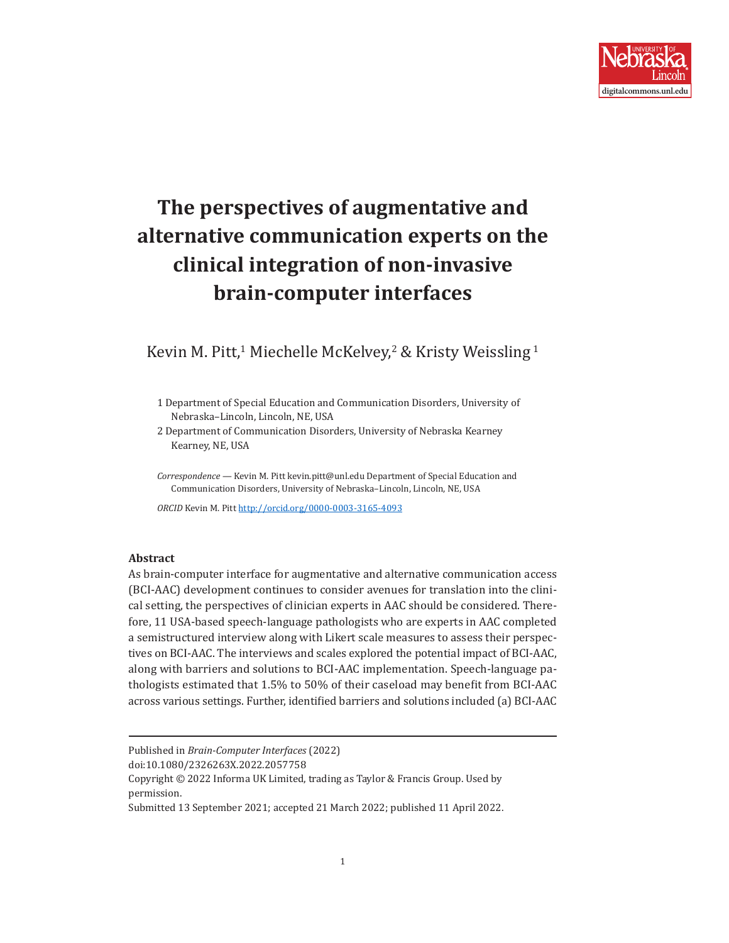

# **The perspectives of augmentative and alternative communication experts on the clinical integration of non-invasive brain-computer interfaces**

# Kevin M. Pitt,<sup>1</sup> Miechelle McKelvey,<sup>2</sup> & Kristy Weissling<sup>1</sup>

1 Department of Special Education and Communication Disorders, University of Nebraska–Lincoln, Lincoln, NE, USA

2 Department of Communication Disorders, University of Nebraska Kearney Kearney, NE, USA

*Correspondence —* Kevin M. Pitt kevin.pitt@unl.edu Department of Special Education and Communication Disorders, University of Nebraska–Lincoln, Lincoln, NE, USA

*ORCID* Kevin M. Pitt<http://orcid.org/0000-0003-3165-4093>

#### **Abstract**

As brain-computer interface for augmentative and alternative communication access (BCI-AAC) development continues to consider avenues for translation into the clinical setting, the perspectives of clinician experts in AAC should be considered. Therefore, 11 USA-based speech-language pathologists who are experts in AAC completed a semistructured interview along with Likert scale measures to assess their perspectives on BCI-AAC. The interviews and scales explored the potential impact of BCI-AAC, along with barriers and solutions to BCI-AAC implementation. Speech-language pathologists estimated that 1.5% to 50% of their caseload may benefit from BCI-AAC across various settings. Further, identified barriers and solutions included (a) BCI-AAC

doi:10.1080/2326263X.2022.2057758

Published in *Brain-Computer Interfaces* (2022)

Copyright © 2022 Informa UK Limited, trading as Taylor & Francis Group. Used by permission.

Submitted 13 September 2021; accepted 21 March 2022; published 11 April 2022.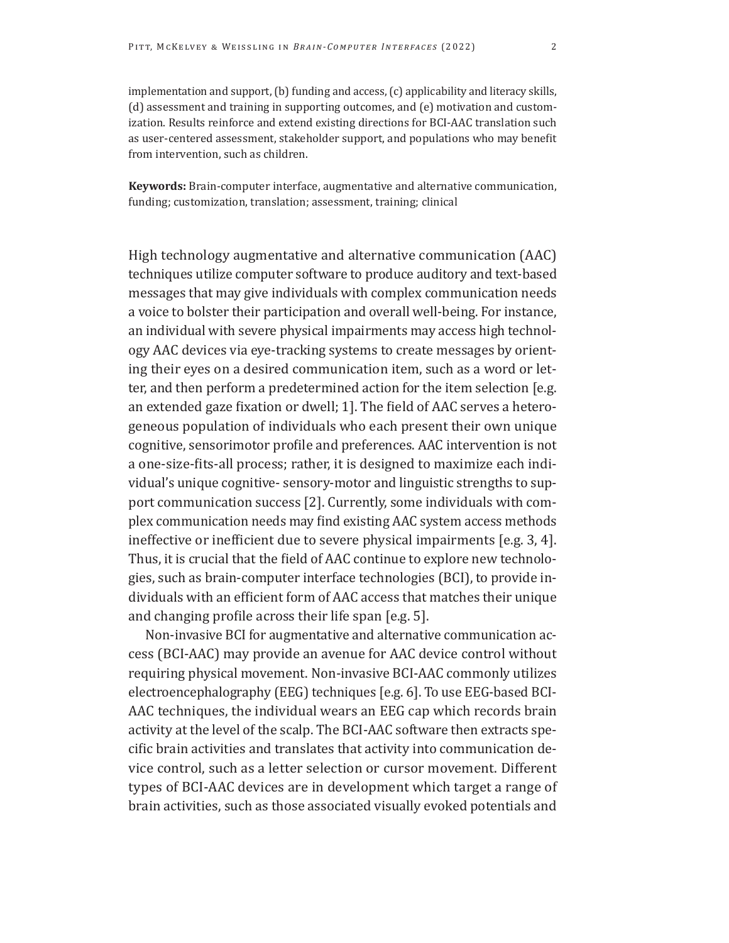implementation and support, (b) funding and access, (c) applicability and literacy skills, (d) assessment and training in supporting outcomes, and (e) motivation and customization. Results reinforce and extend existing directions for BCI-AAC translation such as user-centered assessment, stakeholder support, and populations who may benefit from intervention, such as children.

**Keywords:** Brain-computer interface, augmentative and alternative communication, funding; customization, translation; assessment, training; clinical

High technology augmentative and alternative communication (AAC) techniques utilize computer software to produce auditory and text-based messages that may give individuals with complex communication needs a voice to bolster their participation and overall well-being. For instance, an individual with severe physical impairments may access high technology AAC devices via eye-tracking systems to create messages by orienting their eyes on a desired communication item, such as a word or letter, and then perform a predetermined action for the item selection [e.g. an extended gaze fixation or dwell; 1]. The field of AAC serves a heterogeneous population of individuals who each present their own unique cognitive, sensorimotor profile and preferences. AAC intervention is not a one-size-fits-all process; rather, it is designed to maximize each individual's unique cognitive- sensory-motor and linguistic strengths to support communication success [2]. Currently, some individuals with complex communication needs may find existing AAC system access methods ineffective or inefficient due to severe physical impairments [e.g. 3, 4]. Thus, it is crucial that the field of AAC continue to explore new technologies, such as brain-computer interface technologies (BCI), to provide individuals with an efficient form of AAC access that matches their unique and changing profile across their life span [e.g. 5].

Non-invasive BCI for augmentative and alternative communication access (BCI-AAC) may provide an avenue for AAC device control without requiring physical movement. Non-invasive BCI-AAC commonly utilizes electroencephalography (EEG) techniques [e.g. 6]. To use EEG-based BCI-AAC techniques, the individual wears an EEG cap which records brain activity at the level of the scalp. The BCI-AAC software then extracts specific brain activities and translates that activity into communication device control, such as a letter selection or cursor movement. Different types of BCI-AAC devices are in development which target a range of brain activities, such as those associated visually evoked potentials and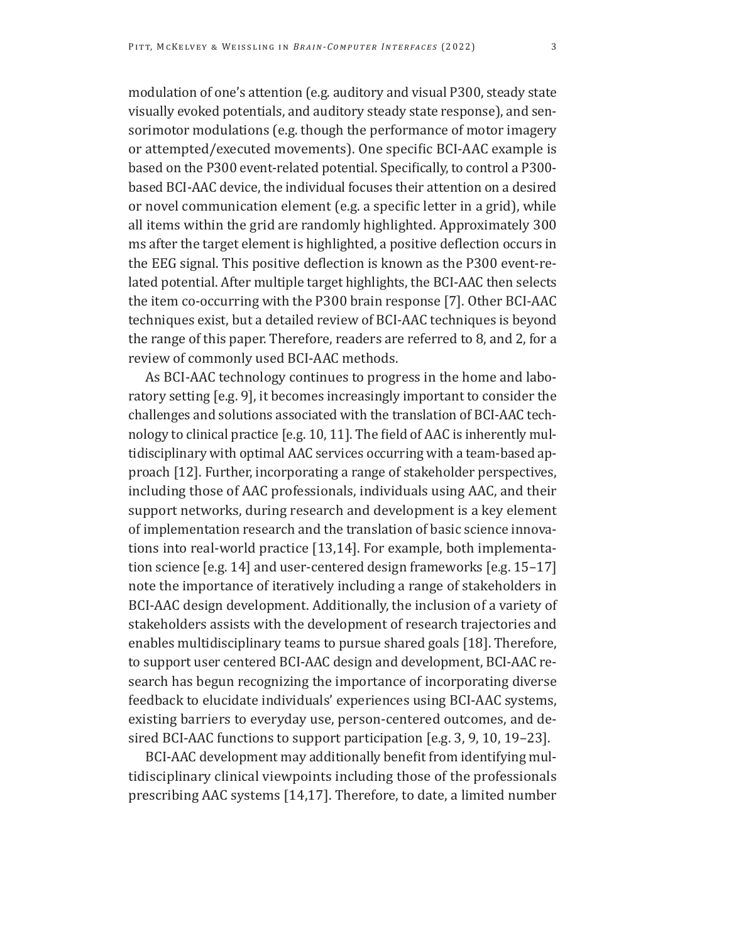modulation of one's attention (e.g. auditory and visual P300, steady state visually evoked potentials, and auditory steady state response), and sensorimotor modulations (e.g. though the performance of motor imagery or attempted/executed movements). One specific BCI-AAC example is based on the P300 event-related potential. Specifically, to control a P300 based BCI-AAC device, the individual focuses their attention on a desired or novel communication element (e.g. a specific letter in a grid), while all items within the grid are randomly highlighted. Approximately 300 ms after the target element is highlighted, a positive deflection occurs in the EEG signal. This positive deflection is known as the P300 event-related potential. After multiple target highlights, the BCI-AAC then selects the item co-occurring with the P300 brain response [7]. Other BCI-AAC techniques exist, but a detailed review of BCI-AAC techniques is beyond the range of this paper. Therefore, readers are referred to 8, and 2, for a review of commonly used BCI-AAC methods.

As BCI-AAC technology continues to progress in the home and laboratory setting [e.g. 9], it becomes increasingly important to consider the challenges and solutions associated with the translation of BCI-AAC technology to clinical practice [e.g. 10, 11]. The field of AAC is inherently multidisciplinary with optimal AAC services occurring with a team-based approach [12]. Further, incorporating a range of stakeholder perspectives, including those of AAC professionals, individuals using AAC, and their support networks, during research and development is a key element of implementation research and the translation of basic science innovations into real-world practice [13,14]. For example, both implementation science [e.g. 14] and user-centered design frameworks [e.g. 15–17] note the importance of iteratively including a range of stakeholders in BCI-AAC design development. Additionally, the inclusion of a variety of stakeholders assists with the development of research trajectories and enables multidisciplinary teams to pursue shared goals [18]. Therefore, to support user centered BCI-AAC design and development, BCI-AAC research has begun recognizing the importance of incorporating diverse feedback to elucidate individuals' experiences using BCI-AAC systems, existing barriers to everyday use, person-centered outcomes, and desired BCI-AAC functions to support participation [e.g. 3, 9, 10, 19–23].

BCI-AAC development may additionally benefit from identifying multidisciplinary clinical viewpoints including those of the professionals prescribing AAC systems [14,17]. Therefore, to date, a limited number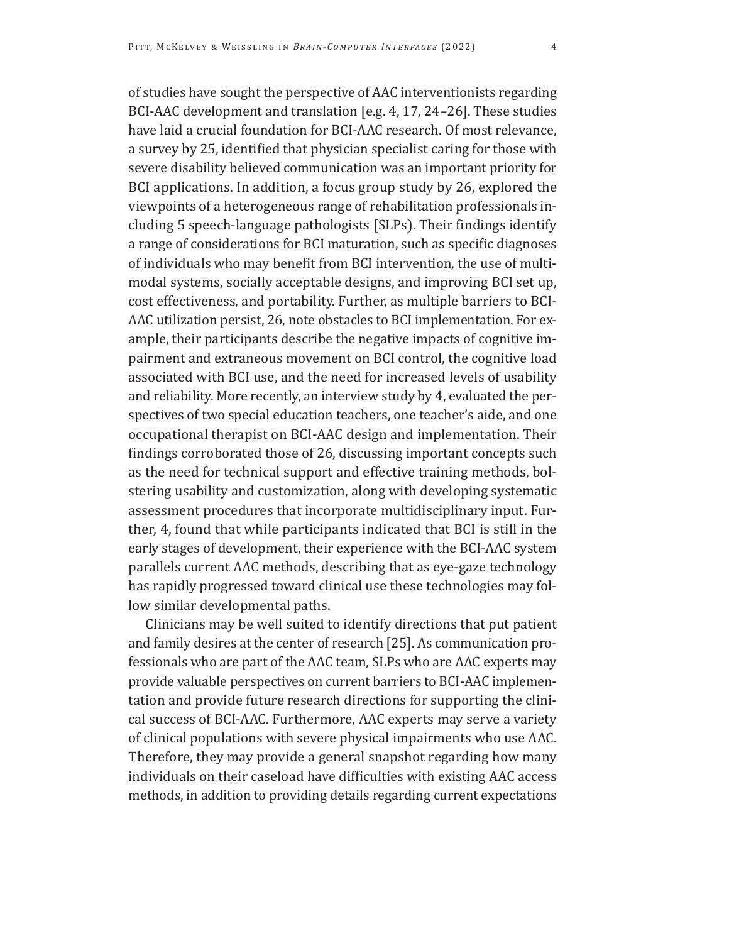of studies have sought the perspective of AAC interventionists regarding BCI-AAC development and translation [e.g. 4, 17, 24–26]. These studies have laid a crucial foundation for BCI-AAC research. Of most relevance, a survey by 25, identified that physician specialist caring for those with severe disability believed communication was an important priority for BCI applications. In addition, a focus group study by 26, explored the viewpoints of a heterogeneous range of rehabilitation professionals including 5 speech-language pathologists [SLPs). Their findings identify a range of considerations for BCI maturation, such as specific diagnoses of individuals who may benefit from BCI intervention, the use of multimodal systems, socially acceptable designs, and improving BCI set up, cost effectiveness, and portability. Further, as multiple barriers to BCI-AAC utilization persist, 26, note obstacles to BCI implementation. For example, their participants describe the negative impacts of cognitive impairment and extraneous movement on BCI control, the cognitive load associated with BCI use, and the need for increased levels of usability and reliability. More recently, an interview study by 4, evaluated the perspectives of two special education teachers, one teacher's aide, and one occupational therapist on BCI-AAC design and implementation. Their findings corroborated those of 26, discussing important concepts such as the need for technical support and effective training methods, bolstering usability and customization, along with developing systematic assessment procedures that incorporate multidisciplinary input. Further, 4, found that while participants indicated that BCI is still in the early stages of development, their experience with the BCI-AAC system parallels current AAC methods, describing that as eye-gaze technology has rapidly progressed toward clinical use these technologies may follow similar developmental paths.

Clinicians may be well suited to identify directions that put patient and family desires at the center of research [25]. As communication professionals who are part of the AAC team, SLPs who are AAC experts may provide valuable perspectives on current barriers to BCI-AAC implementation and provide future research directions for supporting the clinical success of BCI-AAC. Furthermore, AAC experts may serve a variety of clinical populations with severe physical impairments who use AAC. Therefore, they may provide a general snapshot regarding how many individuals on their caseload have difficulties with existing AAC access methods, in addition to providing details regarding current expectations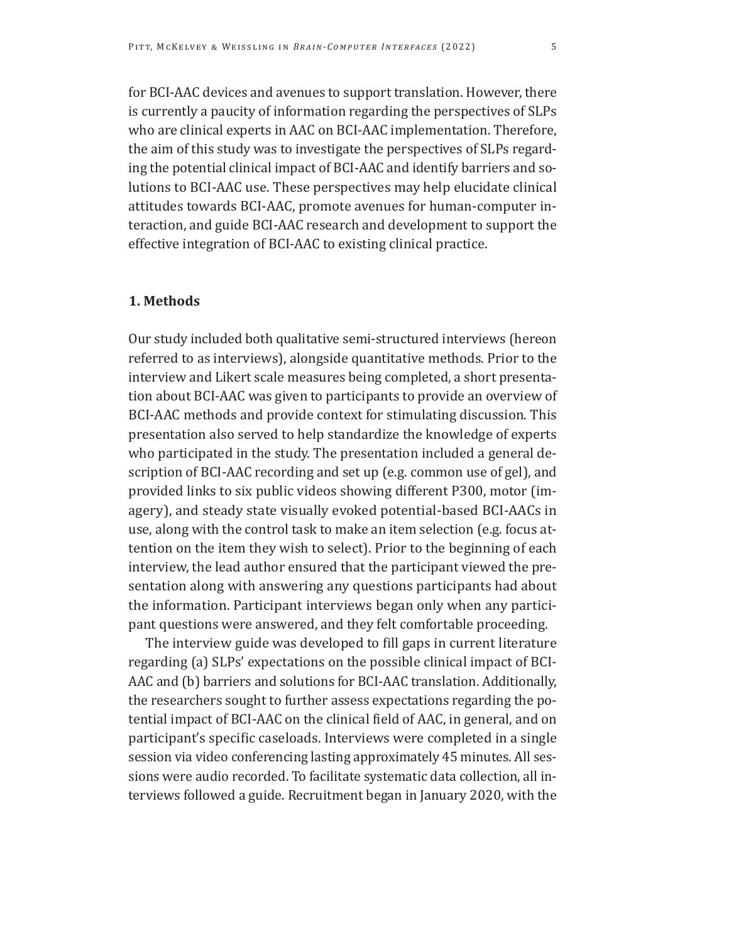for BCI-AAC devices and avenues to support translation. However, there is currently a paucity of information regarding the perspectives of SLPs who are clinical experts in AAC on BCI-AAC implementation. Therefore, the aim of this study was to investigate the perspectives of SLPs regarding the potential clinical impact of BCI-AAC and identify barriers and solutions to BCI-AAC use. These perspectives may help elucidate clinical attitudes towards BCI-AAC, promote avenues for human-computer interaction, and guide BCI-AAC research and development to support the effective integration of BCI-AAC to existing clinical practice.

# **1. Methods**

Our study included both qualitative semi-structured interviews (hereon referred to as interviews), alongside quantitative methods. Prior to the interview and Likert scale measures being completed, a short presentation about BCI-AAC was given to participants to provide an overview of BCI-AAC methods and provide context for stimulating discussion. This presentation also served to help standardize the knowledge of experts who participated in the study. The presentation included a general description of BCI-AAC recording and set up (e.g. common use of gel), and provided links to six public videos showing different P300, motor (imagery), and steady state visually evoked potential-based BCI-AACs in use, along with the control task to make an item selection (e.g. focus attention on the item they wish to select). Prior to the beginning of each interview, the lead author ensured that the participant viewed the presentation along with answering any questions participants had about the information. Participant interviews began only when any participant questions were answered, and they felt comfortable proceeding.

The interview guide was developed to fill gaps in current literature regarding (a) SLPs' expectations on the possible clinical impact of BCI-AAC and (b) barriers and solutions for BCI-AAC translation. Additionally, the researchers sought to further assess expectations regarding the potential impact of BCI-AAC on the clinical field of AAC, in general, and on participant's specific caseloads. Interviews were completed in a single session via video conferencing lasting approximately 45 minutes. All sessions were audio recorded. To facilitate systematic data collection, all interviews followed a guide. Recruitment began in January 2020, with the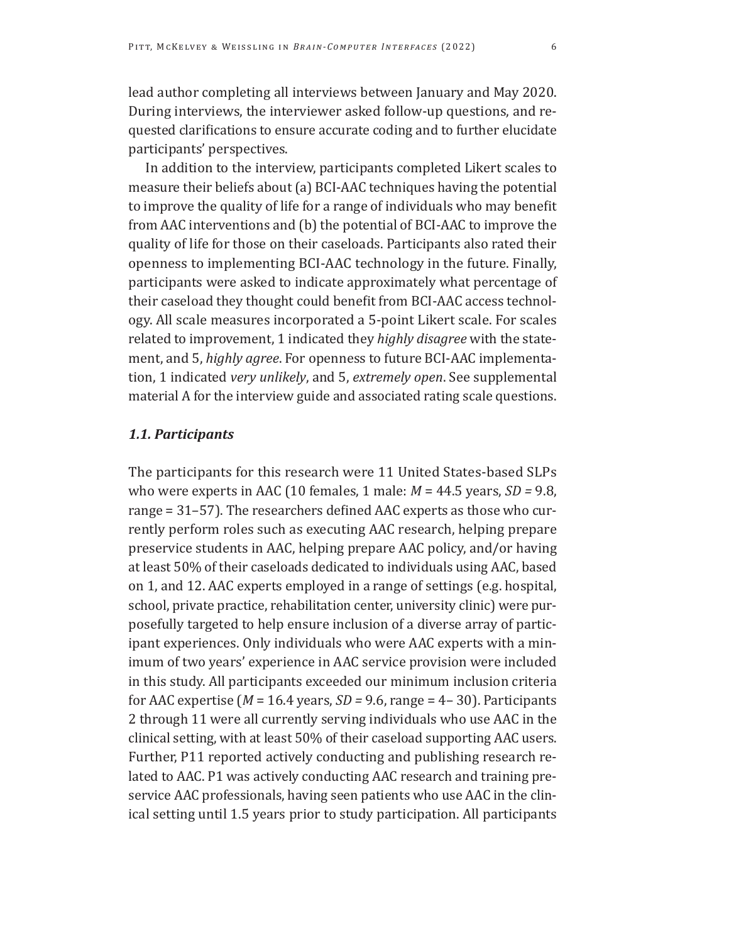lead author completing all interviews between January and May 2020. During interviews, the interviewer asked follow-up questions, and requested clarifications to ensure accurate coding and to further elucidate participants' perspectives.

In addition to the interview, participants completed Likert scales to measure their beliefs about (a) BCI-AAC techniques having the potential to improve the quality of life for a range of individuals who may benefit from AAC interventions and (b) the potential of BCI-AAC to improve the quality of life for those on their caseloads. Participants also rated their openness to implementing BCI-AAC technology in the future. Finally, participants were asked to indicate approximately what percentage of their caseload they thought could benefit from BCI-AAC access technology. All scale measures incorporated a 5-point Likert scale. For scales related to improvement, 1 indicated they *highly disagree* with the statement, and 5, *highly agree*. For openness to future BCI-AAC implementation, 1 indicated *very unlikely*, and 5, *extremely open*. See supplemental material A for the interview guide and associated rating scale questions.

# *1.1. Participants*

The participants for this research were 11 United States-based SLPs who were experts in AAC (10 females, 1 male: *M* = 44.5 years, *SD =* 9.8, range = 31–57). The researchers defined AAC experts as those who currently perform roles such as executing AAC research, helping prepare preservice students in AAC, helping prepare AAC policy, and/or having at least 50% of their caseloads dedicated to individuals using AAC, based on 1, and 12. AAC experts employed in a range of settings (e.g. hospital, school, private practice, rehabilitation center, university clinic) were purposefully targeted to help ensure inclusion of a diverse array of participant experiences. Only individuals who were AAC experts with a minimum of two years' experience in AAC service provision were included in this study. All participants exceeded our minimum inclusion criteria for AAC expertise (*M* = 16.4 years, *SD =* 9.6, range = 4– 30). Participants 2 through 11 were all currently serving individuals who use AAC in the clinical setting, with at least 50% of their caseload supporting AAC users. Further, P11 reported actively conducting and publishing research related to AAC. P1 was actively conducting AAC research and training preservice AAC professionals, having seen patients who use AAC in the clinical setting until 1.5 years prior to study participation. All participants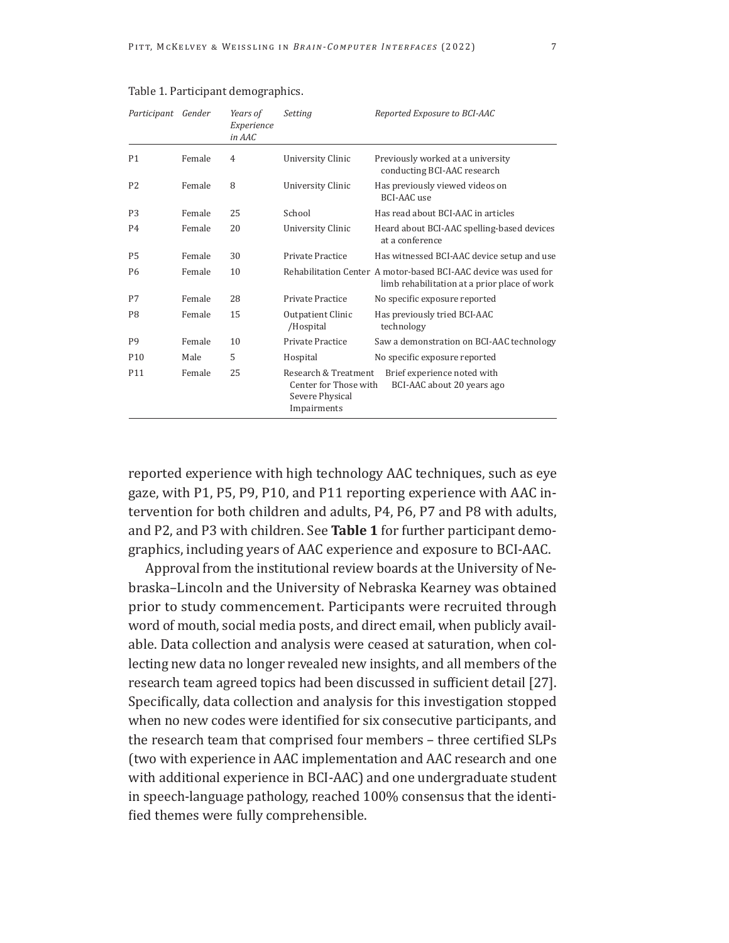| Participant     | Gender | Years of<br>Experience<br>in AAC | Setting                                                                         | Reported Exposure to BCI-AAC                                                                                    |  |
|-----------------|--------|----------------------------------|---------------------------------------------------------------------------------|-----------------------------------------------------------------------------------------------------------------|--|
| P <sub>1</sub>  | Female | $\overline{4}$                   | University Clinic                                                               | Previously worked at a university<br>conducting BCI-AAC research                                                |  |
| P <sub>2</sub>  | Female | 8                                | University Clinic                                                               | Has previously viewed videos on<br>BCI-AAC use                                                                  |  |
| P <sub>3</sub>  | Female | 25                               | School                                                                          | Has read about BCI-AAC in articles                                                                              |  |
| P <sub>4</sub>  | Female | 20                               | University Clinic                                                               | Heard about BCI-AAC spelling-based devices<br>at a conference                                                   |  |
| <b>P5</b>       | Female | 30                               | Private Practice                                                                | Has witnessed BCI-AAC device setup and use                                                                      |  |
| P <sub>6</sub>  | Female | 10                               |                                                                                 | Rehabilitation Center A motor-based BCI-AAC device was used for<br>limb rehabilitation at a prior place of work |  |
| P7              | Female | 28                               | Private Practice                                                                | No specific exposure reported                                                                                   |  |
| P <sub>8</sub>  | Female | 15                               | Outpatient Clinic<br>/Hospital                                                  | Has previously tried BCI-AAC<br>technology                                                                      |  |
| P <sub>9</sub>  | Female | 10                               | Private Practice                                                                | Saw a demonstration on BCI-AAC technology                                                                       |  |
| P <sub>10</sub> | Male   | 5                                | Hospital                                                                        | No specific exposure reported                                                                                   |  |
| P <sub>11</sub> | Female | 25                               | Research & Treatment<br>Center for Those with<br>Severe Physical<br>Impairments | Brief experience noted with<br>BCI-AAC about 20 years ago                                                       |  |

### Table 1. Participant demographics.

reported experience with high technology AAC techniques, such as eye gaze, with P1, P5, P9, P10, and P11 reporting experience with AAC intervention for both children and adults, P4, P6, P7 and P8 with adults, and P2, and P3 with children. See **Table 1** for further participant demographics, including years of AAC experience and exposure to BCI-AAC.

Approval from the institutional review boards at the University of Nebraska–Lincoln and the University of Nebraska Kearney was obtained prior to study commencement. Participants were recruited through word of mouth, social media posts, and direct email, when publicly available. Data collection and analysis were ceased at saturation, when collecting new data no longer revealed new insights, and all members of the research team agreed topics had been discussed in sufficient detail [27]. Specifically, data collection and analysis for this investigation stopped when no new codes were identified for six consecutive participants, and the research team that comprised four members – three certified SLPs (two with experience in AAC implementation and AAC research and one with additional experience in BCI-AAC) and one undergraduate student in speech-language pathology, reached 100% consensus that the identified themes were fully comprehensible.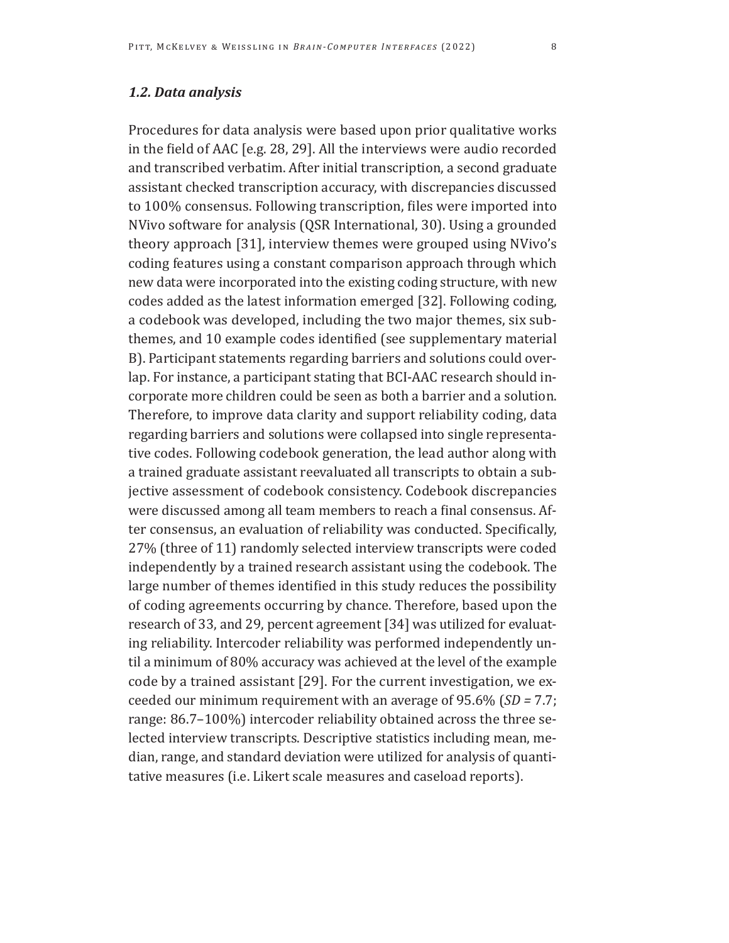# *1.2. Data analysis*

Procedures for data analysis were based upon prior qualitative works in the field of AAC [e.g. 28, 29]. All the interviews were audio recorded and transcribed verbatim. After initial transcription, a second graduate assistant checked transcription accuracy, with discrepancies discussed to 100% consensus. Following transcription, files were imported into NVivo software for analysis (QSR International, 30). Using a grounded theory approach [31], interview themes were grouped using NVivo's coding features using a constant comparison approach through which new data were incorporated into the existing coding structure, with new codes added as the latest information emerged [32]. Following coding, a codebook was developed, including the two major themes, six subthemes, and 10 example codes identified (see supplementary material B). Participant statements regarding barriers and solutions could overlap. For instance, a participant stating that BCI-AAC research should incorporate more children could be seen as both a barrier and a solution. Therefore, to improve data clarity and support reliability coding, data regarding barriers and solutions were collapsed into single representative codes. Following codebook generation, the lead author along with a trained graduate assistant reevaluated all transcripts to obtain a subjective assessment of codebook consistency. Codebook discrepancies were discussed among all team members to reach a final consensus. After consensus, an evaluation of reliability was conducted. Specifically, 27% (three of 11) randomly selected interview transcripts were coded independently by a trained research assistant using the codebook. The large number of themes identified in this study reduces the possibility of coding agreements occurring by chance. Therefore, based upon the research of 33, and 29, percent agreement [34] was utilized for evaluating reliability. Intercoder reliability was performed independently until a minimum of 80% accuracy was achieved at the level of the example code by a trained assistant [29]. For the current investigation, we exceeded our minimum requirement with an average of 95.6% (*SD =* 7.7; range: 86.7–100%) intercoder reliability obtained across the three selected interview transcripts. Descriptive statistics including mean, median, range, and standard deviation were utilized for analysis of quantitative measures (i.e. Likert scale measures and caseload reports).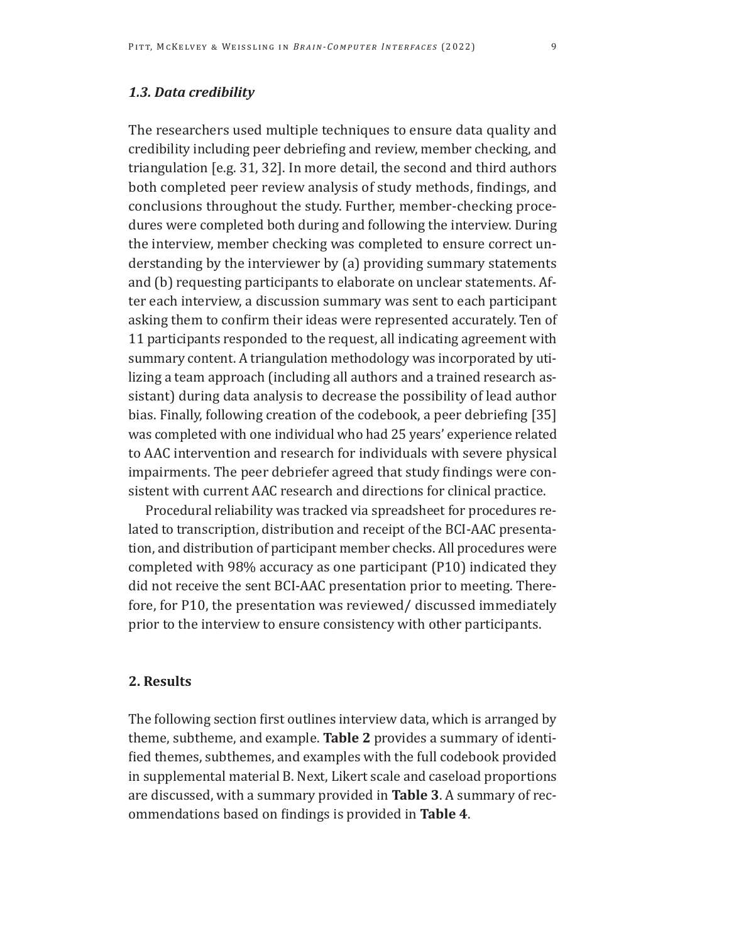# *1.3. Data credibility*

The researchers used multiple techniques to ensure data quality and credibility including peer debriefing and review, member checking, and triangulation [e.g. 31, 32]. In more detail, the second and third authors both completed peer review analysis of study methods, findings, and conclusions throughout the study. Further, member-checking procedures were completed both during and following the interview. During the interview, member checking was completed to ensure correct understanding by the interviewer by (a) providing summary statements and (b) requesting participants to elaborate on unclear statements. After each interview, a discussion summary was sent to each participant asking them to confirm their ideas were represented accurately. Ten of 11 participants responded to the request, all indicating agreement with summary content. A triangulation methodology was incorporated by utilizing a team approach (including all authors and a trained research assistant) during data analysis to decrease the possibility of lead author bias. Finally, following creation of the codebook, a peer debriefing [35] was completed with one individual who had 25 years' experience related to AAC intervention and research for individuals with severe physical impairments. The peer debriefer agreed that study findings were consistent with current AAC research and directions for clinical practice.

Procedural reliability was tracked via spreadsheet for procedures related to transcription, distribution and receipt of the BCI-AAC presentation, and distribution of participant member checks. All procedures were completed with 98% accuracy as one participant (P10) indicated they did not receive the sent BCI-AAC presentation prior to meeting. Therefore, for P10, the presentation was reviewed/ discussed immediately prior to the interview to ensure consistency with other participants.

## **2. Results**

The following section first outlines interview data, which is arranged by theme, subtheme, and example. **Table 2** provides a summary of identified themes, subthemes, and examples with the full codebook provided in supplemental material B. Next, Likert scale and caseload proportions are discussed, with a summary provided in **Table 3**. A summary of recommendations based on findings is provided in **Table 4**.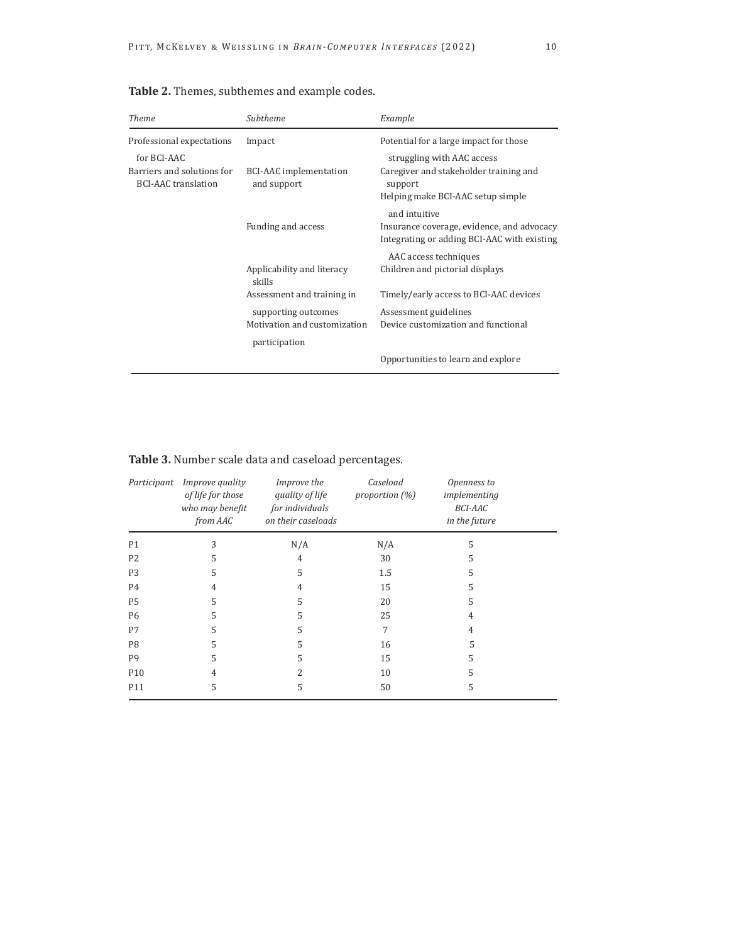| <b>Theme</b>                                             | Subtheme                                            | Example                                                                                                    |  |
|----------------------------------------------------------|-----------------------------------------------------|------------------------------------------------------------------------------------------------------------|--|
| Professional expectations<br>for BCI-AAC                 | Impact                                              | Potential for a large impact for those<br>struggling with AAC access                                       |  |
| Barriers and solutions for<br><b>BCI-AAC</b> translation | <b>BCI-AAC</b> implementation<br>and support        | Caregiver and stakeholder training and<br>support<br>Helping make BCI-AAC setup simple                     |  |
|                                                          | Funding and access                                  | and intuitive<br>Insurance coverage, evidence, and advocacy<br>Integrating or adding BCI-AAC with existing |  |
|                                                          | Applicability and literacy<br>skills                | AAC access techniques<br>Children and pictorial displays                                                   |  |
|                                                          | Assessment and training in                          | Timely/early access to BCI-AAC devices                                                                     |  |
|                                                          | supporting outcomes<br>Motivation and customization | Assessment guidelines<br>Device customization and functional                                               |  |
|                                                          | participation                                       | Opportunities to learn and explore                                                                         |  |
|                                                          |                                                     |                                                                                                            |  |

**Table 2.** Themes, subthemes and example codes.

| Table 3. Number scale data and caseload percentages. |  |
|------------------------------------------------------|--|
|------------------------------------------------------|--|

| Participant     | <i>Improve quality</i><br>of life for those<br>who may benefit<br>from AAC | Improve the<br>quality of life<br>for individuals<br>on their caseloads | Caseload<br>proportion (%) | Openness to<br>implementing<br><b>BCI-AAC</b><br>in the future |  |
|-----------------|----------------------------------------------------------------------------|-------------------------------------------------------------------------|----------------------------|----------------------------------------------------------------|--|
| P1              | 3                                                                          | N/A                                                                     | N/A                        | 5                                                              |  |
| P <sub>2</sub>  | 5                                                                          | 4                                                                       | 30                         | 5                                                              |  |
| P <sub>3</sub>  | 5                                                                          | 5                                                                       | 1.5                        | 5                                                              |  |
| <b>P4</b>       | 4                                                                          | 4                                                                       | 15                         | 5                                                              |  |
| P <sub>5</sub>  | 5                                                                          | 5                                                                       | 20                         | 5                                                              |  |
| <b>P6</b>       | 5                                                                          | 5                                                                       | 25                         | 4                                                              |  |
| P7              | 5                                                                          | 5                                                                       | 7                          | 4                                                              |  |
| P <sub>8</sub>  | 5                                                                          | 5                                                                       | 16                         | 5                                                              |  |
| P <sub>9</sub>  | 5                                                                          | 5                                                                       | 15                         | 5                                                              |  |
| P <sub>10</sub> | 4                                                                          | 2                                                                       | 10                         | 5                                                              |  |
| P11             | 5                                                                          | 5                                                                       | 50                         | 5                                                              |  |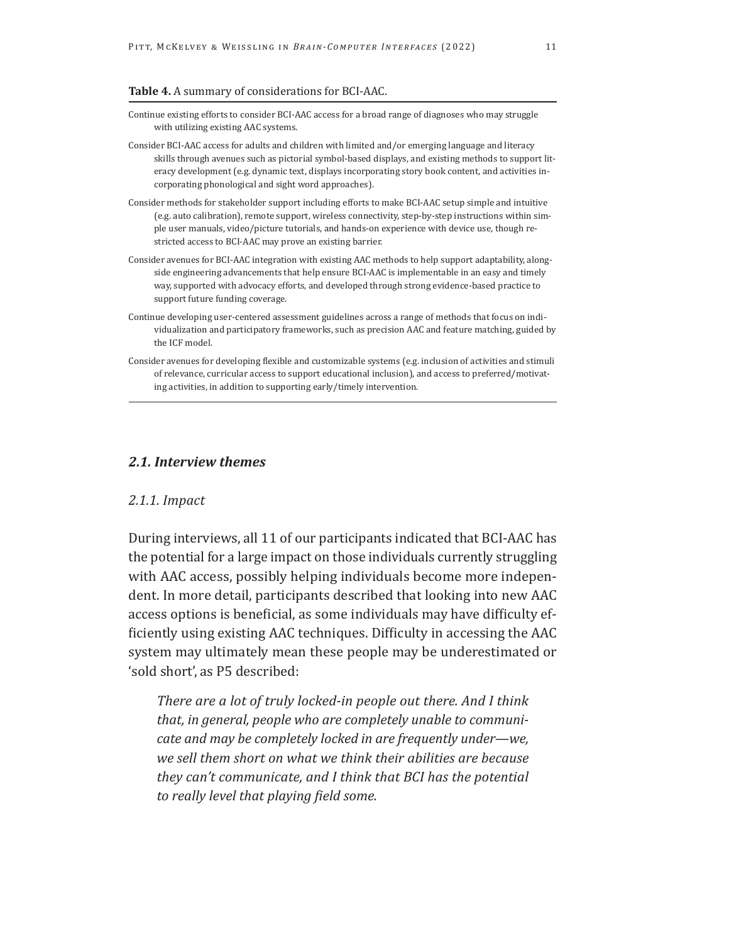#### **Table 4.** A summary of considerations for BCI-AAC.

- Continue existing efforts to consider BCI-AAC access for a broad range of diagnoses who may struggle with utilizing existing AAC systems.
- Consider BCI-AAC access for adults and children with limited and/or emerging language and literacy skills through avenues such as pictorial symbol-based displays, and existing methods to support literacy development (e.g. dynamic text, displays incorporating story book content, and activities incorporating phonological and sight word approaches).
- Consider methods for stakeholder support including efforts to make BCI-AAC setup simple and intuitive (e.g. auto calibration), remote support, wireless connectivity, step-by-step instructions within simple user manuals, video/picture tutorials, and hands-on experience with device use, though restricted access to BCI-AAC may prove an existing barrier.
- Consider avenues for BCI-AAC integration with existing AAC methods to help support adaptability, alongside engineering advancements that help ensure BCI-AAC is implementable in an easy and timely way, supported with advocacy efforts, and developed through strong evidence-based practice to support future funding coverage.
- Continue developing user-centered assessment guidelines across a range of methods that focus on individualization and participatory frameworks, such as precision AAC and feature matching, guided by the ICF model.
- Consider avenues for developing flexible and customizable systems (e.g. inclusion of activities and stimuli of relevance, curricular access to support educational inclusion), and access to preferred/motivating activities, in addition to supporting early/timely intervention.

### *2.1. Interview themes*

#### *2.1.1. Impact*

j

During interviews, all 11 of our participants indicated that BCI-AAC has the potential for a large impact on those individuals currently struggling with AAC access, possibly helping individuals become more independent. In more detail, participants described that looking into new AAC access options is beneficial, as some individuals may have difficulty efficiently using existing AAC techniques. Difficulty in accessing the AAC system may ultimately mean these people may be underestimated or 'sold short', as P5 described:

*There are a lot of truly locked-in people out there. And I think that, in general, people who are completely unable to communicate and may be completely locked in are frequently under—we, we sell them short on what we think their abilities are because they can't communicate, and I think that BCI has the potential to really level that playing field some.*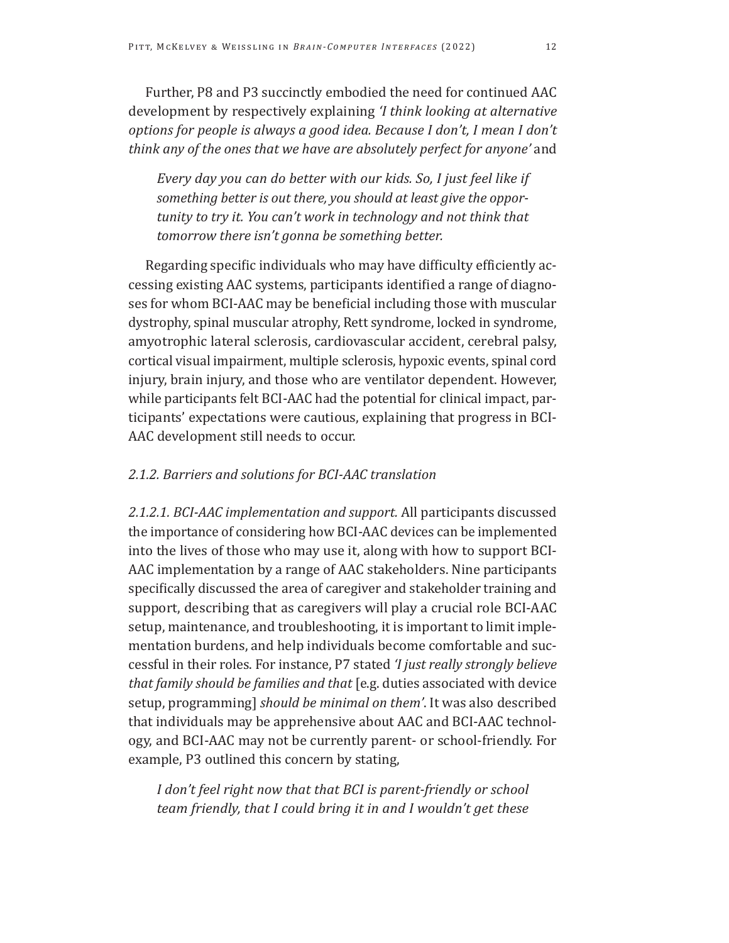Further, P8 and P3 succinctly embodied the need for continued AAC development by respectively explaining *'I think looking at alternative options for people is always a good idea. Because I don't, I mean I don't think any of the ones that we have are absolutely perfect for anyone'* and

*Every day you can do better with our kids. So, I just feel like if something better is out there, you should at least give the opportunity to try it. You can't work in technology and not think that tomorrow there isn't gonna be something better.* 

Regarding specific individuals who may have difficulty efficiently accessing existing AAC systems, participants identified a range of diagnoses for whom BCI-AAC may be beneficial including those with muscular dystrophy, spinal muscular atrophy, Rett syndrome, locked in syndrome, amyotrophic lateral sclerosis, cardiovascular accident, cerebral palsy, cortical visual impairment, multiple sclerosis, hypoxic events, spinal cord injury, brain injury, and those who are ventilator dependent. However, while participants felt BCI-AAC had the potential for clinical impact, participants' expectations were cautious, explaining that progress in BCI-AAC development still needs to occur.

# *2.1.2. Barriers and solutions for BCI-AAC translation*

*2.1.2.1. BCI-AAC implementation and support.* All participants discussed the importance of considering how BCI-AAC devices can be implemented into the lives of those who may use it, along with how to support BCI-AAC implementation by a range of AAC stakeholders. Nine participants specifically discussed the area of caregiver and stakeholder training and support, describing that as caregivers will play a crucial role BCI-AAC setup, maintenance, and troubleshooting, it is important to limit implementation burdens, and help individuals become comfortable and successful in their roles. For instance, P7 stated *'I just really strongly believe that family should be families and that* [e.g. duties associated with device setup, programming] *should be minimal on them'*. It was also described that individuals may be apprehensive about AAC and BCI-AAC technology, and BCI-AAC may not be currently parent- or school-friendly. For example, P3 outlined this concern by stating,

*I don't feel right now that that BCI is parent-friendly or school team friendly, that I could bring it in and I wouldn't get these*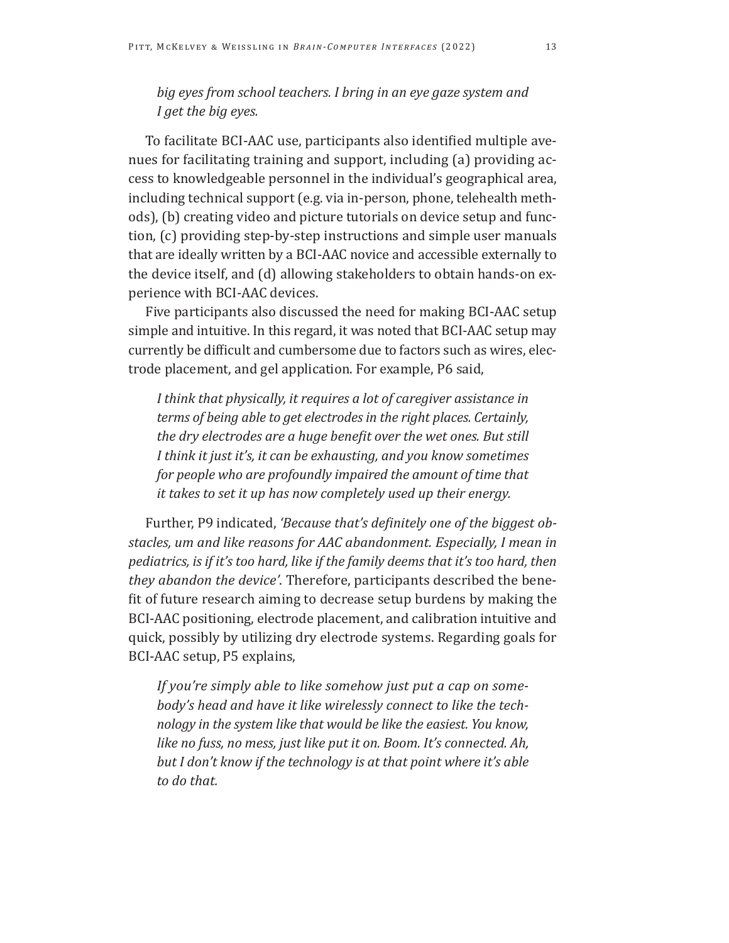# *big eyes from school teachers. I bring in an eye gaze system and I get the big eyes.*

To facilitate BCI-AAC use, participants also identified multiple avenues for facilitating training and support, including (a) providing access to knowledgeable personnel in the individual's geographical area, including technical support (e.g. via in-person, phone, telehealth methods), (b) creating video and picture tutorials on device setup and function, (c) providing step-by-step instructions and simple user manuals that are ideally written by a BCI-AAC novice and accessible externally to the device itself, and (d) allowing stakeholders to obtain hands-on experience with BCI-AAC devices.

Five participants also discussed the need for making BCI-AAC setup simple and intuitive. In this regard, it was noted that BCI-AAC setup may currently be difficult and cumbersome due to factors such as wires, electrode placement, and gel application. For example, P6 said,

*I think that physically, it requires a lot of caregiver assistance in terms of being able to get electrodes in the right places. Certainly, the dry electrodes are a huge benefit over the wet ones. But still I think it just it's, it can be exhausting, and you know sometimes for people who are profoundly impaired the amount of time that it takes to set it up has now completely used up their energy.* 

Further, P9 indicated, *'Because that's definitely one of the biggest obstacles, um and like reasons for AAC abandonment. Especially, I mean in pediatrics, is if it's too hard, like if the family deems that it's too hard, then they abandon the device'*. Therefore, participants described the benefit of future research aiming to decrease setup burdens by making the BCI-AAC positioning, electrode placement, and calibration intuitive and quick, possibly by utilizing dry electrode systems. Regarding goals for BCI-AAC setup, P5 explains,

*If you're simply able to like somehow just put a cap on somebody's head and have it like wirelessly connect to like the technology in the system like that would be like the easiest. You know, like no fuss, no mess, just like put it on. Boom. It's connected. Ah, but I don't know if the technology is at that point where it's able to do that.*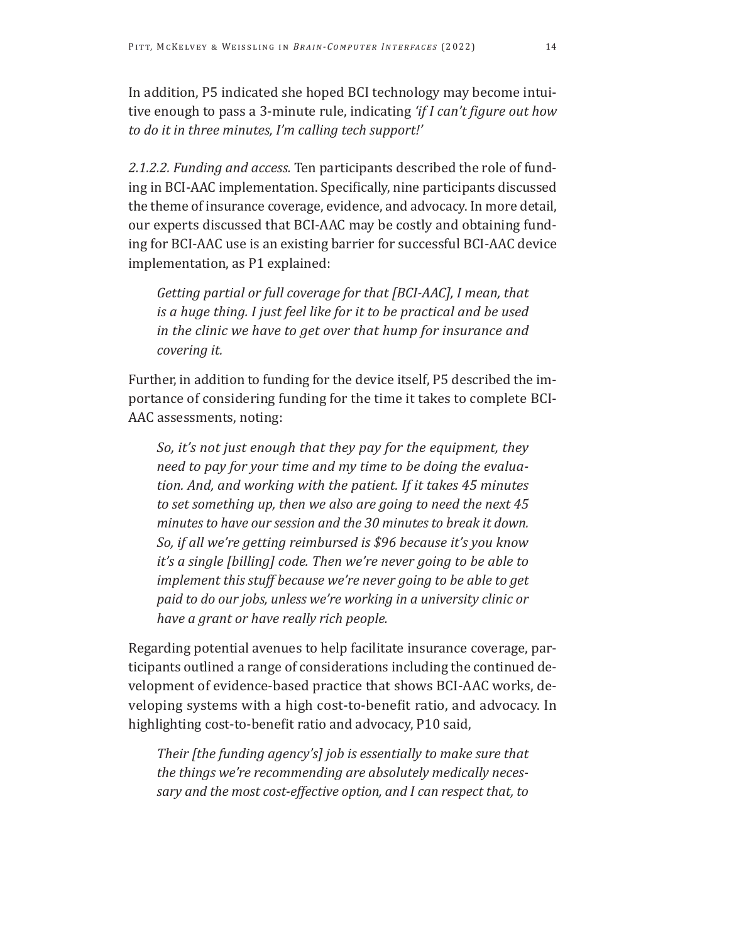In addition, P5 indicated she hoped BCI technology may become intuitive enough to pass a 3-minute rule, indicating *'if I can't figure out how to do it in three minutes, I'm calling tech support!'* 

*2.1.2.2. Funding and access.* Ten participants described the role of funding in BCI-AAC implementation. Specifically, nine participants discussed the theme of insurance coverage, evidence, and advocacy. In more detail, our experts discussed that BCI-AAC may be costly and obtaining funding for BCI-AAC use is an existing barrier for successful BCI-AAC device implementation, as P1 explained:

*Getting partial or full coverage for that [BCI-AAC], I mean, that is a huge thing. I just feel like for it to be practical and be used in the clinic we have to get over that hump for insurance and covering it.* 

Further, in addition to funding for the device itself, P5 described the importance of considering funding for the time it takes to complete BCI-AAC assessments, noting:

*So, it's not just enough that they pay for the equipment, they need to pay for your time and my time to be doing the evaluation. And, and working with the patient. If it takes 45 minutes to set something up, then we also are going to need the next 45 minutes to have our session and the 30 minutes to break it down. So, if all we're getting reimbursed is \$96 because it's you know it's a single [billing] code. Then we're never going to be able to implement this stuff because we're never going to be able to get paid to do our jobs, unless we're working in a university clinic or have a grant or have really rich people.* 

Regarding potential avenues to help facilitate insurance coverage, participants outlined a range of considerations including the continued development of evidence-based practice that shows BCI-AAC works, developing systems with a high cost-to-benefit ratio, and advocacy. In highlighting cost-to-benefit ratio and advocacy, P10 said,

*Their [the funding agency's] job is essentially to make sure that the things we're recommending are absolutely medically necessary and the most cost-effective option, and I can respect that, to*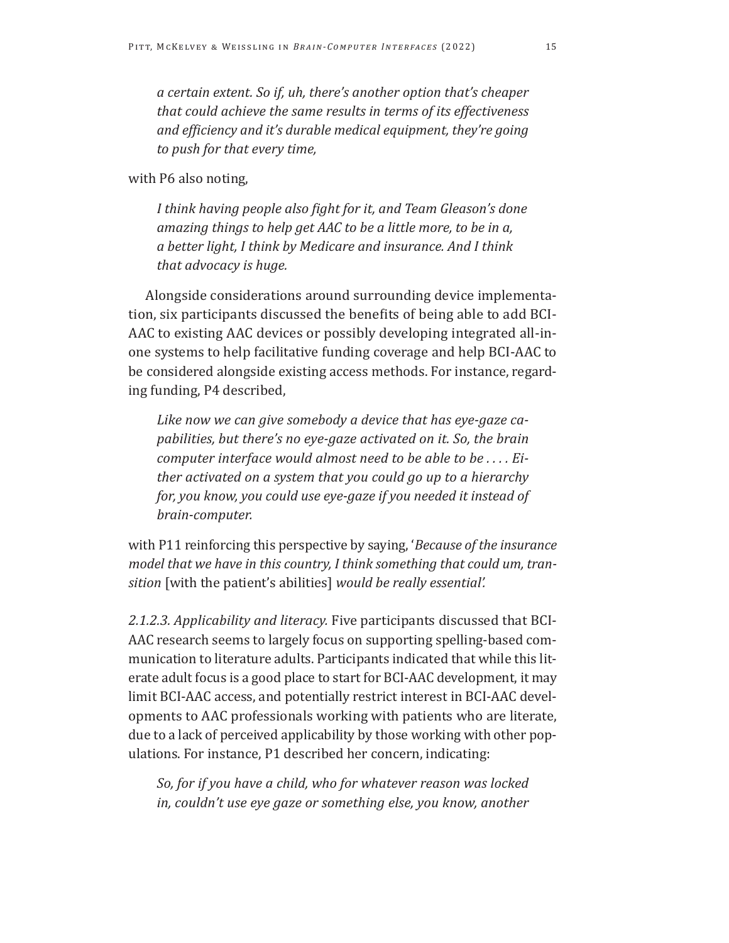*a certain extent. So if, uh, there's another option that's cheaper that could achieve the same results in terms of its effectiveness and efficiency and it's durable medical equipment, they're going to push for that every time,* 

with P6 also noting,

*I think having people also fight for it, and Team Gleason's done amazing things to help get AAC to be a little more, to be in a, a better light, I think by Medicare and insurance. And I think that advocacy is huge.* 

Alongside considerations around surrounding device implementation, six participants discussed the benefits of being able to add BCI-AAC to existing AAC devices or possibly developing integrated all-inone systems to help facilitative funding coverage and help BCI-AAC to be considered alongside existing access methods. For instance, regarding funding, P4 described,

*Like now we can give somebody a device that has eye-gaze capabilities, but there's no eye-gaze activated on it. So, the brain computer interface would almost need to be able to be . . . . Either activated on a system that you could go up to a hierarchy for, you know, you could use eye-gaze if you needed it instead of brain-computer.* 

with P11 reinforcing this perspective by saying, '*Because of the insurance model that we have in this country, I think something that could um, transition* [with the patient's abilities] *would be really essential'.* 

*2.1.2.3. Applicability and literacy.* Five participants discussed that BCI-AAC research seems to largely focus on supporting spelling-based communication to literature adults. Participants indicated that while this literate adult focus is a good place to start for BCI-AAC development, it may limit BCI-AAC access, and potentially restrict interest in BCI-AAC developments to AAC professionals working with patients who are literate, due to a lack of perceived applicability by those working with other populations. For instance, P1 described her concern, indicating:

*So, for if you have a child, who for whatever reason was locked in, couldn't use eye gaze or something else, you know, another*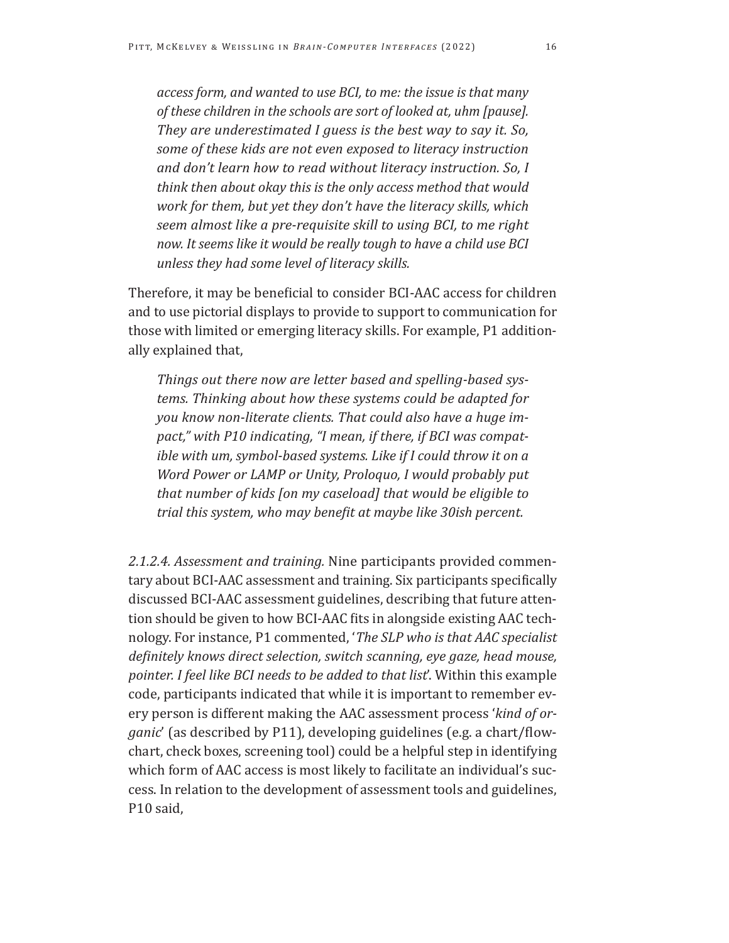*access form, and wanted to use BCI, to me: the issue is that many of these children in the schools are sort of looked at, uhm [pause]. They are underestimated I guess is the best way to say it. So, some of these kids are not even exposed to literacy instruction and don't learn how to read without literacy instruction. So, I think then about okay this is the only access method that would work for them, but yet they don't have the literacy skills, which seem almost like a pre-requisite skill to using BCI, to me right now. It seems like it would be really tough to have a child use BCI unless they had some level of literacy skills.* 

Therefore, it may be beneficial to consider BCI-AAC access for children and to use pictorial displays to provide to support to communication for those with limited or emerging literacy skills. For example, P1 additionally explained that,

*Things out there now are letter based and spelling-based systems. Thinking about how these systems could be adapted for you know non-literate clients. That could also have a huge impact," with P10 indicating, "I mean, if there, if BCI was compatible with um, symbol-based systems. Like if I could throw it on a Word Power or LAMP or Unity, Proloquo, I would probably put that number of kids [on my caseload] that would be eligible to trial this system, who may benefit at maybe like 30ish percent.* 

*2.1.2.4. Assessment and training.* Nine participants provided commentary about BCI-AAC assessment and training. Six participants specifically discussed BCI-AAC assessment guidelines, describing that future attention should be given to how BCI-AAC fits in alongside existing AAC technology. For instance, P1 commented, '*The SLP who is that AAC specialist definitely knows direct selection, switch scanning, eye gaze, head mouse, pointer. I feel like BCI needs to be added to that list*'. Within this example code, participants indicated that while it is important to remember every person is different making the AAC assessment process '*kind of organic*' (as described by P11), developing guidelines (e.g. a chart/flowchart, check boxes, screening tool) could be a helpful step in identifying which form of AAC access is most likely to facilitate an individual's success. In relation to the development of assessment tools and guidelines, P10 said,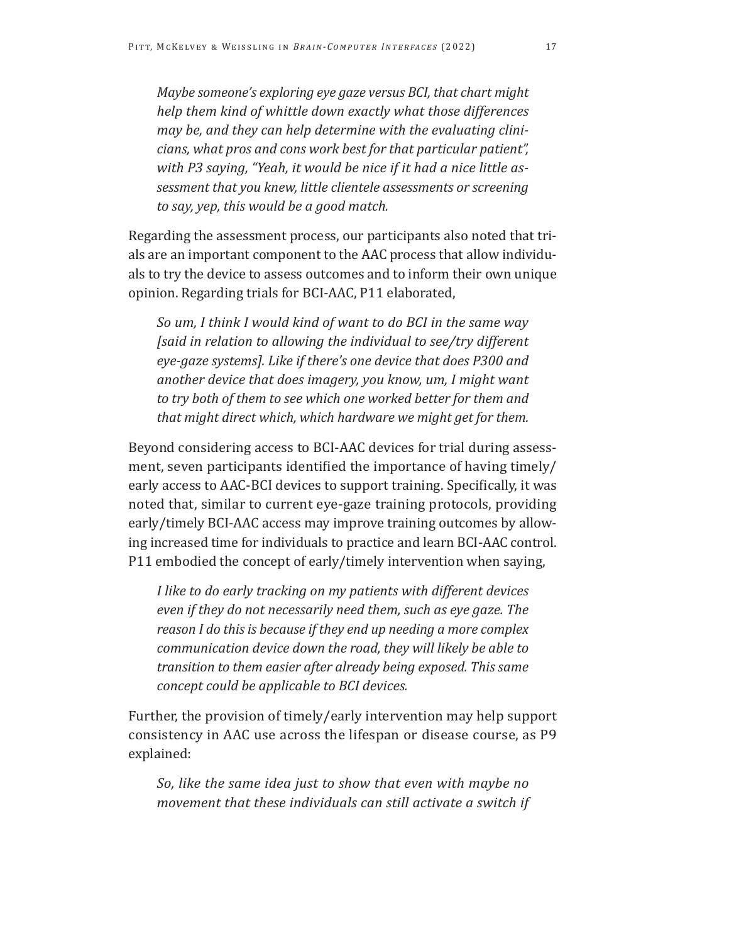*Maybe someone's exploring eye gaze versus BCI, that chart might help them kind of whittle down exactly what those differences may be, and they can help determine with the evaluating clinicians, what pros and cons work best for that particular patient", with P3 saying, "Yeah, it would be nice if it had a nice little assessment that you knew, little clientele assessments or screening to say, yep, this would be a good match.* 

Regarding the assessment process, our participants also noted that trials are an important component to the AAC process that allow individuals to try the device to assess outcomes and to inform their own unique opinion. Regarding trials for BCI-AAC, P11 elaborated,

*So um, I think I would kind of want to do BCI in the same way [said in relation to allowing the individual to see/try different eye-gaze systems]. Like if there's one device that does P300 and another device that does imagery, you know, um, I might want to try both of them to see which one worked better for them and that might direct which, which hardware we might get for them.* 

Beyond considering access to BCI-AAC devices for trial during assessment, seven participants identified the importance of having timely/ early access to AAC-BCI devices to support training. Specifically, it was noted that, similar to current eye-gaze training protocols, providing early/timely BCI-AAC access may improve training outcomes by allowing increased time for individuals to practice and learn BCI-AAC control. P11 embodied the concept of early/timely intervention when saying,

*I like to do early tracking on my patients with different devices even if they do not necessarily need them, such as eye gaze. The reason I do this is because if they end up needing a more complex communication device down the road, they will likely be able to transition to them easier after already being exposed. This same concept could be applicable to BCI devices.* 

Further, the provision of timely/early intervention may help support consistency in AAC use across the lifespan or disease course, as P9 explained:

*So, like the same idea just to show that even with maybe no movement that these individuals can still activate a switch if*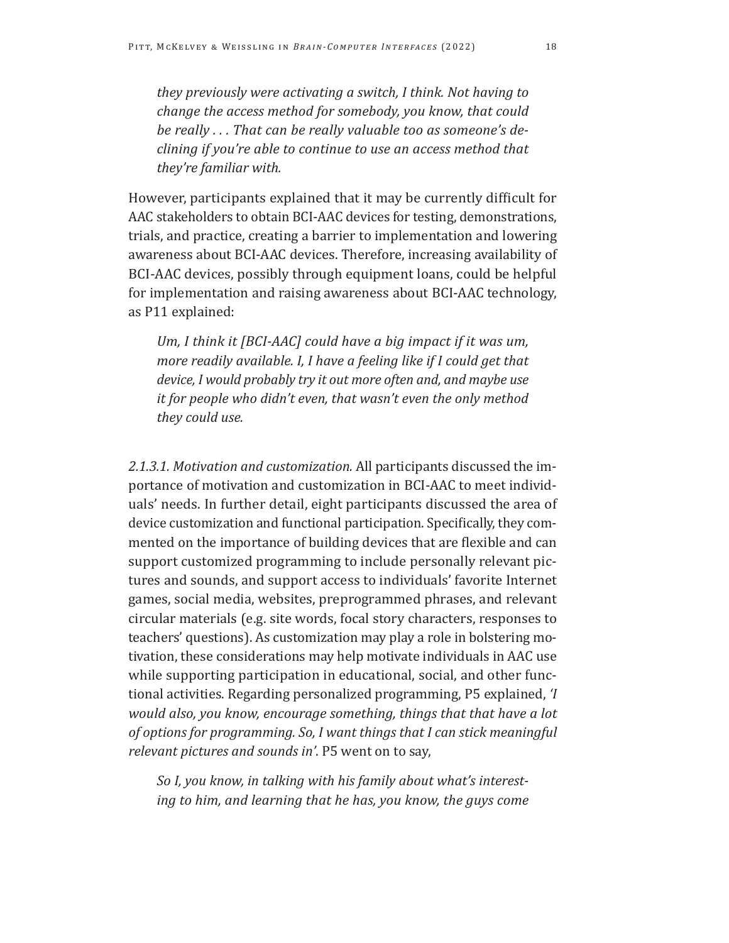*they previously were activating a switch, I think. Not having to change the access method for somebody, you know, that could be really . . . That can be really valuable too as someone's declining if you're able to continue to use an access method that they're familiar with.* 

However, participants explained that it may be currently difficult for AAC stakeholders to obtain BCI-AAC devices for testing, demonstrations, trials, and practice, creating a barrier to implementation and lowering awareness about BCI-AAC devices. Therefore, increasing availability of BCI-AAC devices, possibly through equipment loans, could be helpful for implementation and raising awareness about BCI-AAC technology, as P11 explained:

Um, I think it [BCI-AAC] could have a big impact if it was um, *more readily available. I, I have a feeling like if I could get that device, I would probably try it out more often and, and maybe use it for people who didn't even, that wasn't even the only method they could use.* 

*2.1.3.1. Motivation and customization.* All participants discussed the importance of motivation and customization in BCI-AAC to meet individuals' needs. In further detail, eight participants discussed the area of device customization and functional participation. Specifically, they commented on the importance of building devices that are flexible and can support customized programming to include personally relevant pictures and sounds, and support access to individuals' favorite Internet games, social media, websites, preprogrammed phrases, and relevant circular materials (e.g. site words, focal story characters, responses to teachers' questions). As customization may play a role in bolstering motivation, these considerations may help motivate individuals in AAC use while supporting participation in educational, social, and other functional activities. Regarding personalized programming, P5 explained, *'I would also, you know, encourage something, things that that have a lot of options for programming. So, I want things that I can stick meaningful relevant pictures and sounds in'*. P5 went on to say,

*So I, you know, in talking with his family about what's interesting to him, and learning that he has, you know, the guys come*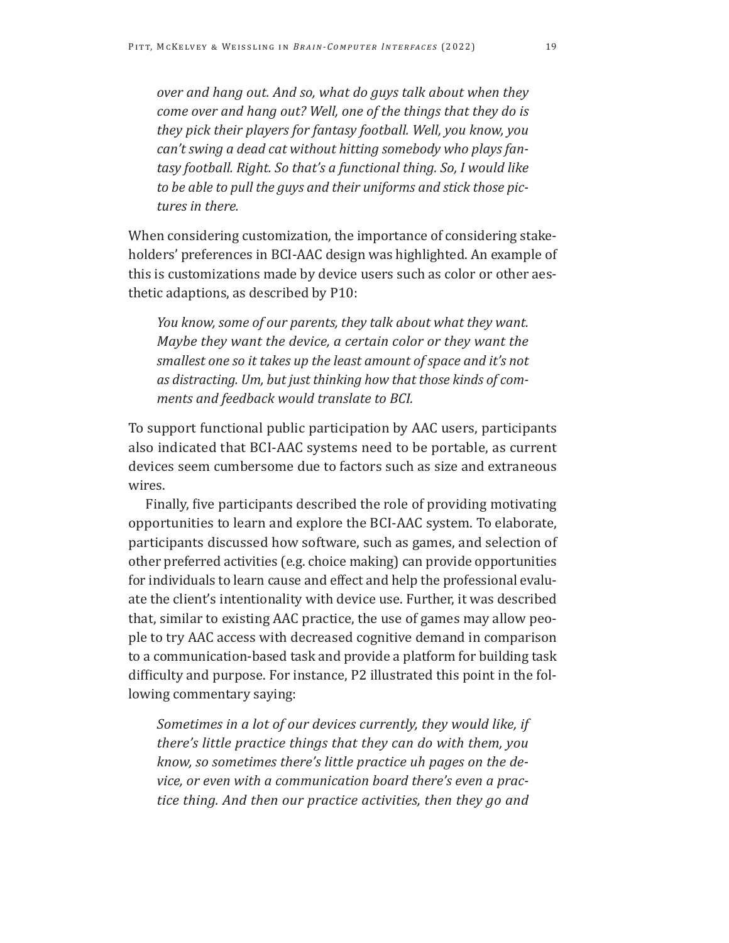*over and hang out. And so, what do guys talk about when they come over and hang out? Well, one of the things that they do is they pick their players for fantasy football. Well, you know, you can't swing a dead cat without hitting somebody who plays fantasy football. Right. So that's a functional thing. So, I would like to be able to pull the guys and their uniforms and stick those pictures in there.* 

When considering customization, the importance of considering stakeholders' preferences in BCI-AAC design was highlighted. An example of this is customizations made by device users such as color or other aesthetic adaptions, as described by P10:

*You know, some of our parents, they talk about what they want. Maybe they want the device, a certain color or they want the smallest one so it takes up the least amount of space and it's not as distracting. Um, but just thinking how that those kinds of comments and feedback would translate to BCI.* 

To support functional public participation by AAC users, participants also indicated that BCI-AAC systems need to be portable, as current devices seem cumbersome due to factors such as size and extraneous wires.

Finally, five participants described the role of providing motivating opportunities to learn and explore the BCI-AAC system. To elaborate, participants discussed how software, such as games, and selection of other preferred activities (e.g. choice making) can provide opportunities for individuals to learn cause and effect and help the professional evaluate the client's intentionality with device use. Further, it was described that, similar to existing AAC practice, the use of games may allow people to try AAC access with decreased cognitive demand in comparison to a communication-based task and provide a platform for building task difficulty and purpose. For instance, P2 illustrated this point in the following commentary saying:

*Sometimes in a lot of our devices currently, they would like, if there's little practice things that they can do with them, you know, so sometimes there's little practice uh pages on the device, or even with a communication board there's even a practice thing. And then our practice activities, then they go and*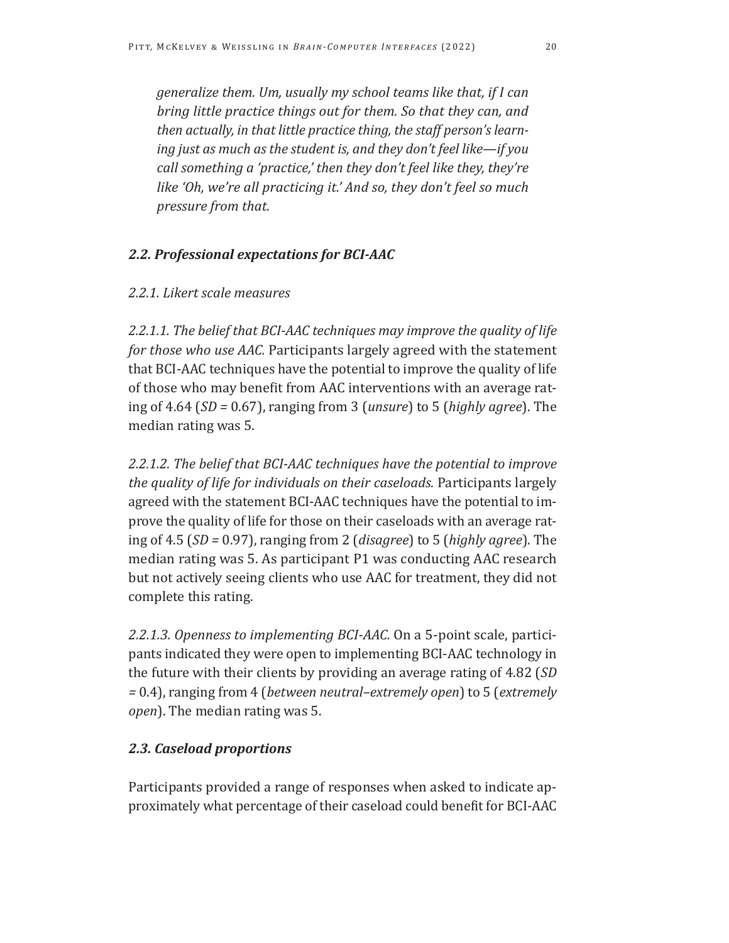*generalize them. Um, usually my school teams like that, if I can bring little practice things out for them. So that they can, and then actually, in that little practice thing, the staff person's learning just as much as the student is, and they don't feel like—if you call something a 'practice,' then they don't feel like they, they're like 'Oh, we're all practicing it.' And so, they don't feel so much pressure from that.* 

# *2.2. Professional expectations for BCI-AAC*

## *2.2.1. Likert scale measures*

*2.2.1.1. The belief that BCI-AAC techniques may improve the quality of life for those who use AAC.* Participants largely agreed with the statement that BCI-AAC techniques have the potential to improve the quality of life of those who may benefit from AAC interventions with an average rating of 4.64 (*SD =* 0.67), ranging from 3 (*unsure*) to 5 (*highly agree*). The median rating was 5.

*2.2.1.2. The belief that BCI-AAC techniques have the potential to improve the quality of life for individuals on their caseloads.* Participants largely agreed with the statement BCI-AAC techniques have the potential to improve the quality of life for those on their caseloads with an average rating of 4.5 (*SD =* 0.97), ranging from 2 (*disagree*) to 5 (*highly agree*). The median rating was 5. As participant P1 was conducting AAC research but not actively seeing clients who use AAC for treatment, they did not complete this rating.

*2.2.1.3. Openness to implementing BCI-AAC.* On a 5-point scale, participants indicated they were open to implementing BCI-AAC technology in the future with their clients by providing an average rating of 4.82 (*SD =* 0.4), ranging from 4 (*between neutral–extremely open*) to 5 (*extremely open*). The median rating was 5.

# *2.3. Caseload proportions*

Participants provided a range of responses when asked to indicate approximately what percentage of their caseload could benefit for BCI-AAC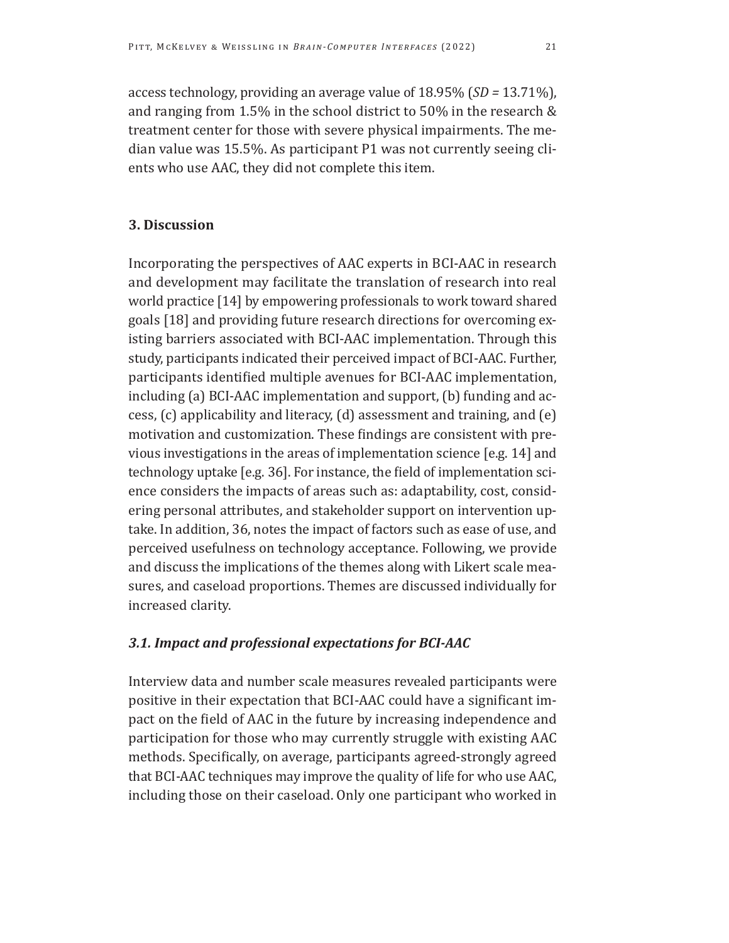access technology, providing an average value of 18.95% (*SD =* 13.71%), and ranging from 1.5% in the school district to 50% in the research & treatment center for those with severe physical impairments. The median value was 15.5%. As participant P1 was not currently seeing clients who use AAC, they did not complete this item.

# **3. Discussion**

Incorporating the perspectives of AAC experts in BCI-AAC in research and development may facilitate the translation of research into real world practice [14] by empowering professionals to work toward shared goals [18] and providing future research directions for overcoming existing barriers associated with BCI-AAC implementation. Through this study, participants indicated their perceived impact of BCI-AAC. Further, participants identified multiple avenues for BCI-AAC implementation, including (a) BCI-AAC implementation and support, (b) funding and access, (c) applicability and literacy, (d) assessment and training, and (e) motivation and customization. These findings are consistent with previous investigations in the areas of implementation science [e.g. 14] and technology uptake [e.g. 36]. For instance, the field of implementation science considers the impacts of areas such as: adaptability, cost, considering personal attributes, and stakeholder support on intervention uptake. In addition, 36, notes the impact of factors such as ease of use, and perceived usefulness on technology acceptance. Following, we provide and discuss the implications of the themes along with Likert scale measures, and caseload proportions. Themes are discussed individually for increased clarity.

# *3.1. Impact and professional expectations for BCI-AAC*

Interview data and number scale measures revealed participants were positive in their expectation that BCI-AAC could have a significant impact on the field of AAC in the future by increasing independence and participation for those who may currently struggle with existing AAC methods. Specifically, on average, participants agreed-strongly agreed that BCI-AAC techniques may improve the quality of life for who use AAC, including those on their caseload. Only one participant who worked in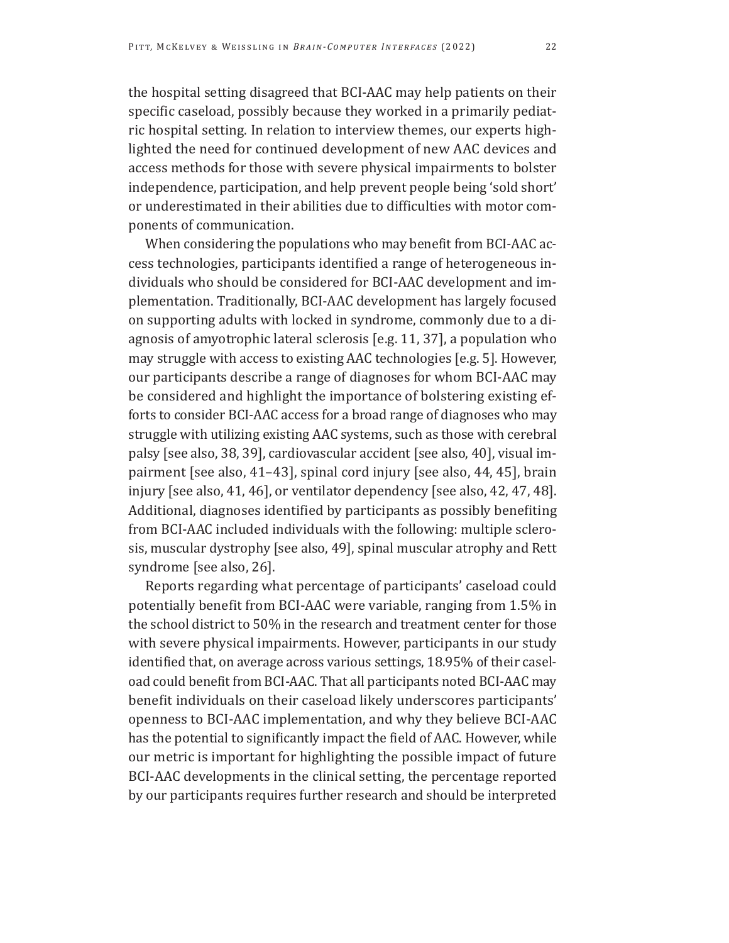the hospital setting disagreed that BCI-AAC may help patients on their specific caseload, possibly because they worked in a primarily pediatric hospital setting. In relation to interview themes, our experts highlighted the need for continued development of new AAC devices and access methods for those with severe physical impairments to bolster independence, participation, and help prevent people being 'sold short' or underestimated in their abilities due to difficulties with motor components of communication.

When considering the populations who may benefit from BCI-AAC access technologies, participants identified a range of heterogeneous individuals who should be considered for BCI-AAC development and implementation. Traditionally, BCI-AAC development has largely focused on supporting adults with locked in syndrome, commonly due to a diagnosis of amyotrophic lateral sclerosis [e.g. 11, 37], a population who may struggle with access to existing AAC technologies [e.g. 5]. However, our participants describe a range of diagnoses for whom BCI-AAC may be considered and highlight the importance of bolstering existing efforts to consider BCI-AAC access for a broad range of diagnoses who may struggle with utilizing existing AAC systems, such as those with cerebral palsy [see also, 38, 39], cardiovascular accident [see also, 40], visual impairment [see also, 41–43], spinal cord injury [see also, 44, 45], brain injury [see also, 41, 46], or ventilator dependency [see also, 42, 47, 48]. Additional, diagnoses identified by participants as possibly benefiting from BCI-AAC included individuals with the following: multiple sclerosis, muscular dystrophy [see also, 49], spinal muscular atrophy and Rett syndrome [see also, 26].

Reports regarding what percentage of participants' caseload could potentially benefit from BCI-AAC were variable, ranging from 1.5% in the school district to 50% in the research and treatment center for those with severe physical impairments. However, participants in our study identified that, on average across various settings, 18.95% of their caseload could benefit from BCI-AAC. That all participants noted BCI-AAC may benefit individuals on their caseload likely underscores participants' openness to BCI-AAC implementation, and why they believe BCI-AAC has the potential to significantly impact the field of AAC. However, while our metric is important for highlighting the possible impact of future BCI-AAC developments in the clinical setting, the percentage reported by our participants requires further research and should be interpreted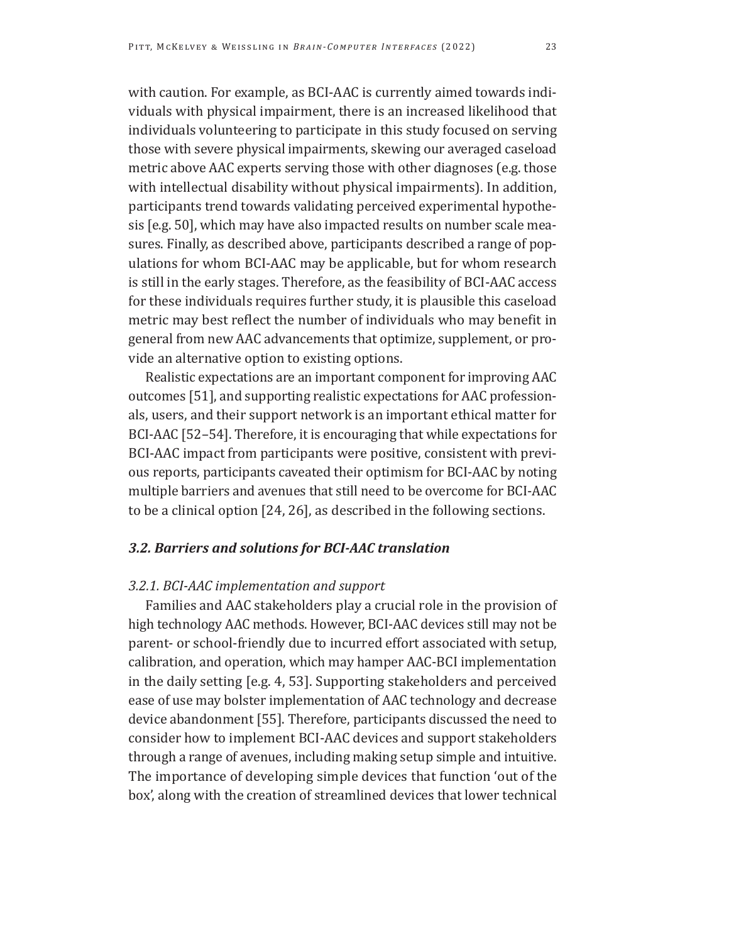with caution. For example, as BCI-AAC is currently aimed towards individuals with physical impairment, there is an increased likelihood that individuals volunteering to participate in this study focused on serving those with severe physical impairments, skewing our averaged caseload metric above AAC experts serving those with other diagnoses (e.g. those with intellectual disability without physical impairments). In addition, participants trend towards validating perceived experimental hypothesis [e.g. 50], which may have also impacted results on number scale measures. Finally, as described above, participants described a range of populations for whom BCI-AAC may be applicable, but for whom research is still in the early stages. Therefore, as the feasibility of BCI-AAC access for these individuals requires further study, it is plausible this caseload metric may best reflect the number of individuals who may benefit in general from new AAC advancements that optimize, supplement, or pro-

Realistic expectations are an important component for improving AAC outcomes [51], and supporting realistic expectations for AAC professionals, users, and their support network is an important ethical matter for BCI-AAC [52–54]. Therefore, it is encouraging that while expectations for BCI-AAC impact from participants were positive, consistent with previous reports, participants caveated their optimism for BCI-AAC by noting multiple barriers and avenues that still need to be overcome for BCI-AAC to be a clinical option [24, 26], as described in the following sections.

# *3.2. Barriers and solutions for BCI-AAC translation*

# *3.2.1. BCI-AAC implementation and support*

vide an alternative option to existing options.

Families and AAC stakeholders play a crucial role in the provision of high technology AAC methods. However, BCI-AAC devices still may not be parent- or school-friendly due to incurred effort associated with setup, calibration, and operation, which may hamper AAC-BCI implementation in the daily setting [e.g. 4, 53]. Supporting stakeholders and perceived ease of use may bolster implementation of AAC technology and decrease device abandonment [55]. Therefore, participants discussed the need to consider how to implement BCI-AAC devices and support stakeholders through a range of avenues, including making setup simple and intuitive. The importance of developing simple devices that function 'out of the box', along with the creation of streamlined devices that lower technical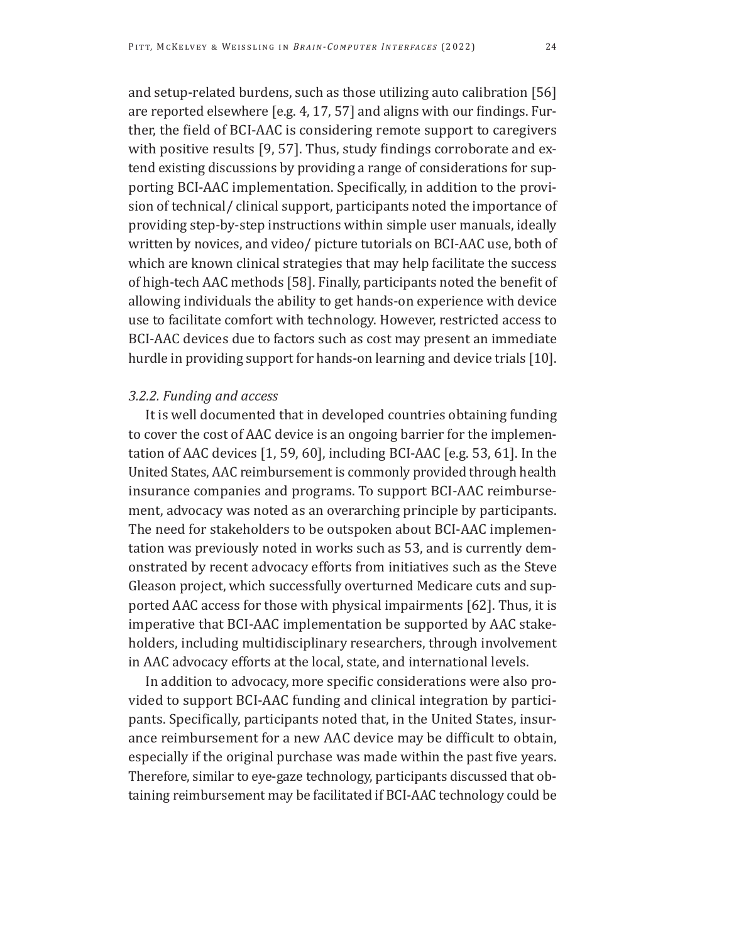and setup-related burdens, such as those utilizing auto calibration [56] are reported elsewhere [e.g. 4, 17, 57] and aligns with our findings. Further, the field of BCI-AAC is considering remote support to caregivers with positive results [9, 57]. Thus, study findings corroborate and extend existing discussions by providing a range of considerations for supporting BCI-AAC implementation. Specifically, in addition to the provision of technical/ clinical support, participants noted the importance of providing step-by-step instructions within simple user manuals, ideally written by novices, and video/ picture tutorials on BCI-AAC use, both of which are known clinical strategies that may help facilitate the success of high-tech AAC methods [58]. Finally, participants noted the benefit of allowing individuals the ability to get hands-on experience with device use to facilitate comfort with technology. However, restricted access to BCI-AAC devices due to factors such as cost may present an immediate hurdle in providing support for hands-on learning and device trials [10].

## *3.2.2. Funding and access*

It is well documented that in developed countries obtaining funding to cover the cost of AAC device is an ongoing barrier for the implementation of AAC devices [1, 59, 60], including BCI-AAC [e.g. 53, 61]. In the United States, AAC reimbursement is commonly provided through health insurance companies and programs. To support BCI-AAC reimbursement, advocacy was noted as an overarching principle by participants. The need for stakeholders to be outspoken about BCI-AAC implementation was previously noted in works such as 53, and is currently demonstrated by recent advocacy efforts from initiatives such as the Steve Gleason project, which successfully overturned Medicare cuts and supported AAC access for those with physical impairments [62]. Thus, it is imperative that BCI-AAC implementation be supported by AAC stakeholders, including multidisciplinary researchers, through involvement in AAC advocacy efforts at the local, state, and international levels.

In addition to advocacy, more specific considerations were also provided to support BCI-AAC funding and clinical integration by participants. Specifically, participants noted that, in the United States, insurance reimbursement for a new AAC device may be difficult to obtain, especially if the original purchase was made within the past five years. Therefore, similar to eye-gaze technology, participants discussed that obtaining reimbursement may be facilitated if BCI-AAC technology could be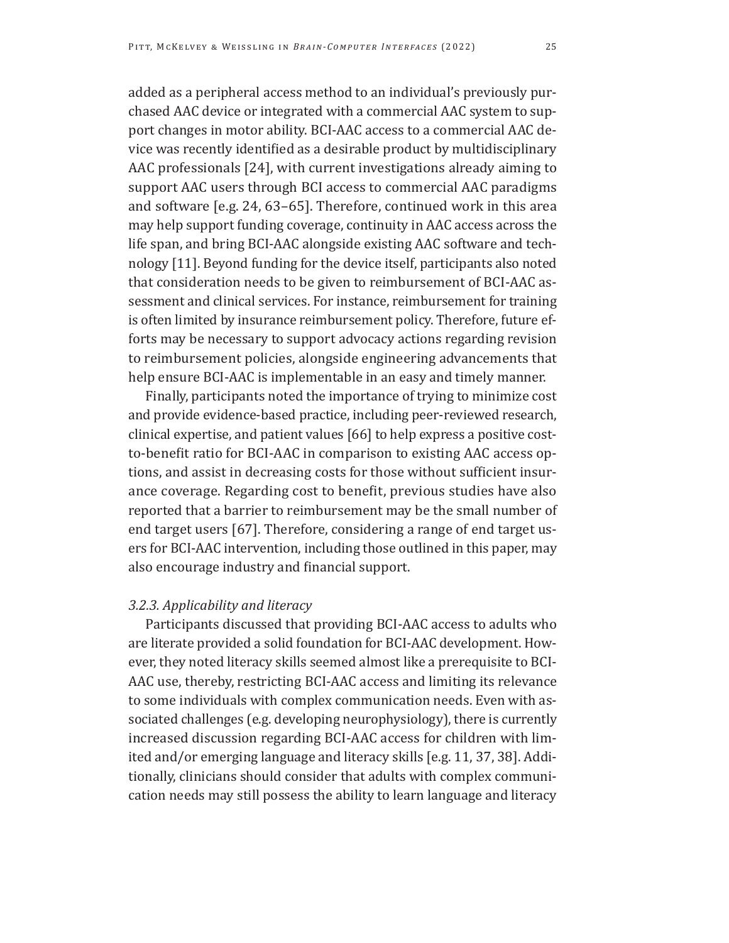added as a peripheral access method to an individual's previously purchased AAC device or integrated with a commercial AAC system to support changes in motor ability. BCI-AAC access to a commercial AAC device was recently identified as a desirable product by multidisciplinary AAC professionals [24], with current investigations already aiming to support AAC users through BCI access to commercial AAC paradigms and software [e.g. 24, 63–65]. Therefore, continued work in this area may help support funding coverage, continuity in AAC access across the life span, and bring BCI-AAC alongside existing AAC software and technology [11]. Beyond funding for the device itself, participants also noted that consideration needs to be given to reimbursement of BCI-AAC assessment and clinical services. For instance, reimbursement for training is often limited by insurance reimbursement policy. Therefore, future efforts may be necessary to support advocacy actions regarding revision to reimbursement policies, alongside engineering advancements that help ensure BCI-AAC is implementable in an easy and timely manner.

Finally, participants noted the importance of trying to minimize cost and provide evidence-based practice, including peer-reviewed research, clinical expertise, and patient values [66] to help express a positive costto-benefit ratio for BCI-AAC in comparison to existing AAC access options, and assist in decreasing costs for those without sufficient insurance coverage. Regarding cost to benefit, previous studies have also reported that a barrier to reimbursement may be the small number of end target users [67]. Therefore, considering a range of end target users for BCI-AAC intervention, including those outlined in this paper, may also encourage industry and financial support.

# *3.2.3. Applicability and literacy*

Participants discussed that providing BCI-AAC access to adults who are literate provided a solid foundation for BCI-AAC development. However, they noted literacy skills seemed almost like a prerequisite to BCI-AAC use, thereby, restricting BCI-AAC access and limiting its relevance to some individuals with complex communication needs. Even with associated challenges (e.g. developing neurophysiology), there is currently increased discussion regarding BCI-AAC access for children with limited and/or emerging language and literacy skills [e.g. 11, 37, 38]. Additionally, clinicians should consider that adults with complex communication needs may still possess the ability to learn language and literacy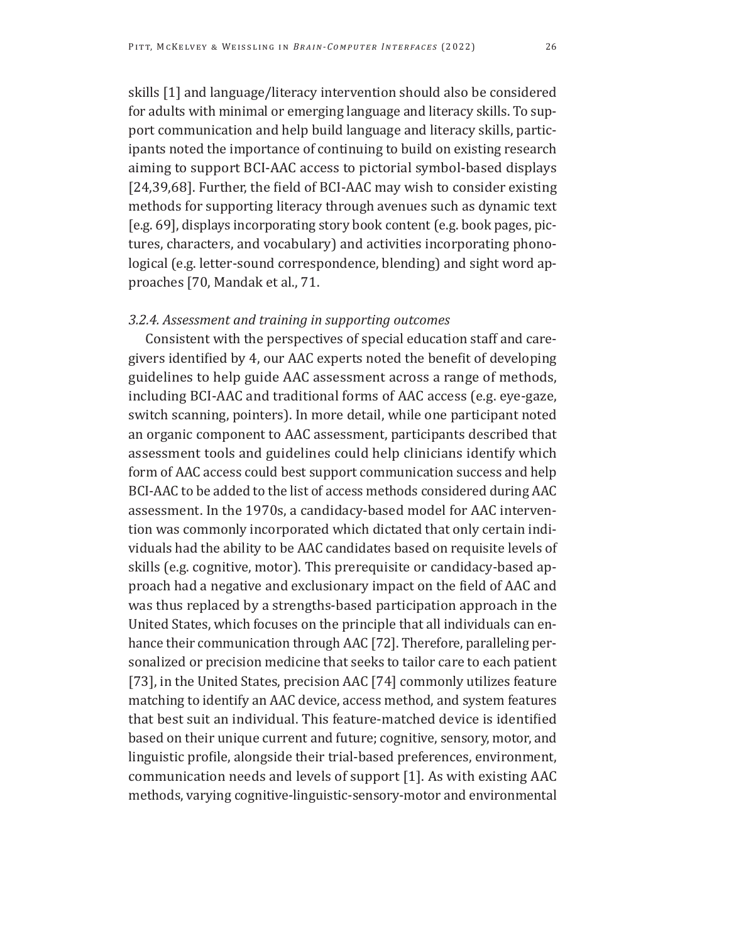skills [1] and language/literacy intervention should also be considered for adults with minimal or emerging language and literacy skills. To support communication and help build language and literacy skills, participants noted the importance of continuing to build on existing research aiming to support BCI-AAC access to pictorial symbol-based displays [24,39,68]. Further, the field of BCI-AAC may wish to consider existing methods for supporting literacy through avenues such as dynamic text [e.g. 69], displays incorporating story book content (e.g. book pages, pictures, characters, and vocabulary) and activities incorporating phonological (e.g. letter-sound correspondence, blending) and sight word approaches [70, Mandak et al., 71.

# *3.2.4. Assessment and training in supporting outcomes*

Consistent with the perspectives of special education staff and caregivers identified by 4, our AAC experts noted the benefit of developing guidelines to help guide AAC assessment across a range of methods, including BCI-AAC and traditional forms of AAC access (e.g. eye-gaze, switch scanning, pointers). In more detail, while one participant noted an organic component to AAC assessment, participants described that assessment tools and guidelines could help clinicians identify which form of AAC access could best support communication success and help BCI-AAC to be added to the list of access methods considered during AAC assessment. In the 1970s, a candidacy-based model for AAC intervention was commonly incorporated which dictated that only certain individuals had the ability to be AAC candidates based on requisite levels of skills (e.g. cognitive, motor). This prerequisite or candidacy-based approach had a negative and exclusionary impact on the field of AAC and was thus replaced by a strengths-based participation approach in the United States, which focuses on the principle that all individuals can enhance their communication through AAC [72]. Therefore, paralleling personalized or precision medicine that seeks to tailor care to each patient [73], in the United States, precision AAC [74] commonly utilizes feature matching to identify an AAC device, access method, and system features that best suit an individual. This feature-matched device is identified based on their unique current and future; cognitive, sensory, motor, and linguistic profile, alongside their trial-based preferences, environment, communication needs and levels of support [1]. As with existing AAC methods, varying cognitive-linguistic-sensory-motor and environmental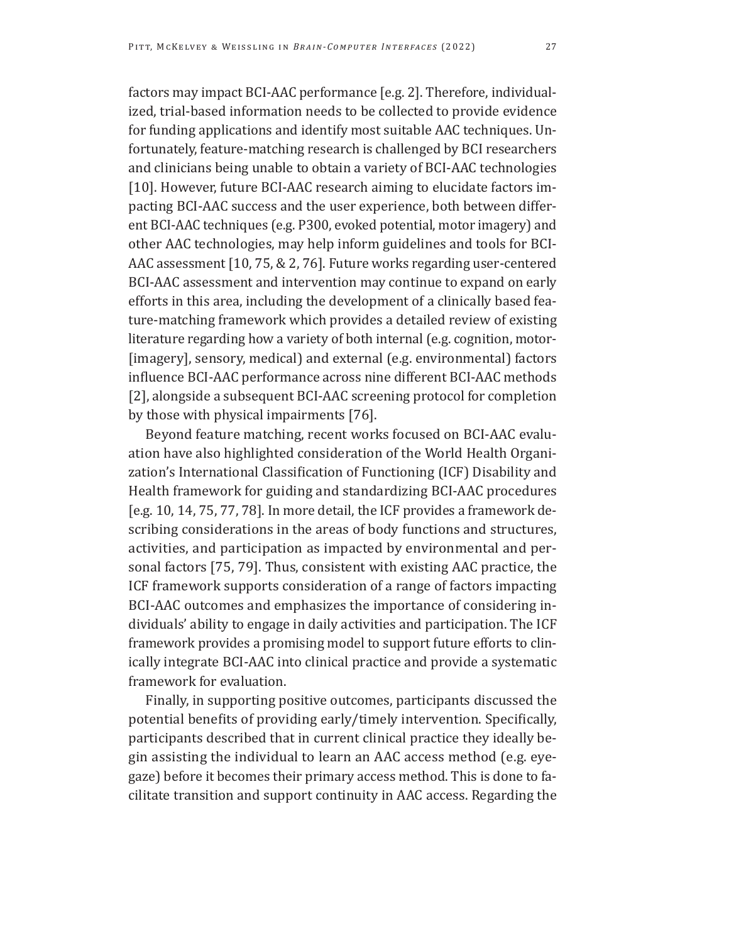factors may impact BCI-AAC performance [e.g. 2]. Therefore, individualized, trial-based information needs to be collected to provide evidence for funding applications and identify most suitable AAC techniques. Unfortunately, feature-matching research is challenged by BCI researchers and clinicians being unable to obtain a variety of BCI-AAC technologies [10]. However, future BCI-AAC research aiming to elucidate factors impacting BCI-AAC success and the user experience, both between different BCI-AAC techniques (e.g. P300, evoked potential, motor imagery) and other AAC technologies, may help inform guidelines and tools for BCI-AAC assessment [10, 75, & 2, 76]. Future works regarding user-centered BCI-AAC assessment and intervention may continue to expand on early efforts in this area, including the development of a clinically based feature-matching framework which provides a detailed review of existing literature regarding how a variety of both internal (e.g. cognition, motor- [imagery], sensory, medical) and external (e.g. environmental) factors influence BCI-AAC performance across nine different BCI-AAC methods [2], alongside a subsequent BCI-AAC screening protocol for completion by those with physical impairments [76].

Beyond feature matching, recent works focused on BCI-AAC evaluation have also highlighted consideration of the World Health Organization's International Classification of Functioning (ICF) Disability and Health framework for guiding and standardizing BCI-AAC procedures [e.g. 10, 14, 75, 77, 78]. In more detail, the ICF provides a framework describing considerations in the areas of body functions and structures, activities, and participation as impacted by environmental and personal factors [75, 79]. Thus, consistent with existing AAC practice, the ICF framework supports consideration of a range of factors impacting BCI-AAC outcomes and emphasizes the importance of considering individuals' ability to engage in daily activities and participation. The ICF framework provides a promising model to support future efforts to clinically integrate BCI-AAC into clinical practice and provide a systematic framework for evaluation.

Finally, in supporting positive outcomes, participants discussed the potential benefits of providing early/timely intervention. Specifically, participants described that in current clinical practice they ideally begin assisting the individual to learn an AAC access method (e.g. eyegaze) before it becomes their primary access method. This is done to facilitate transition and support continuity in AAC access. Regarding the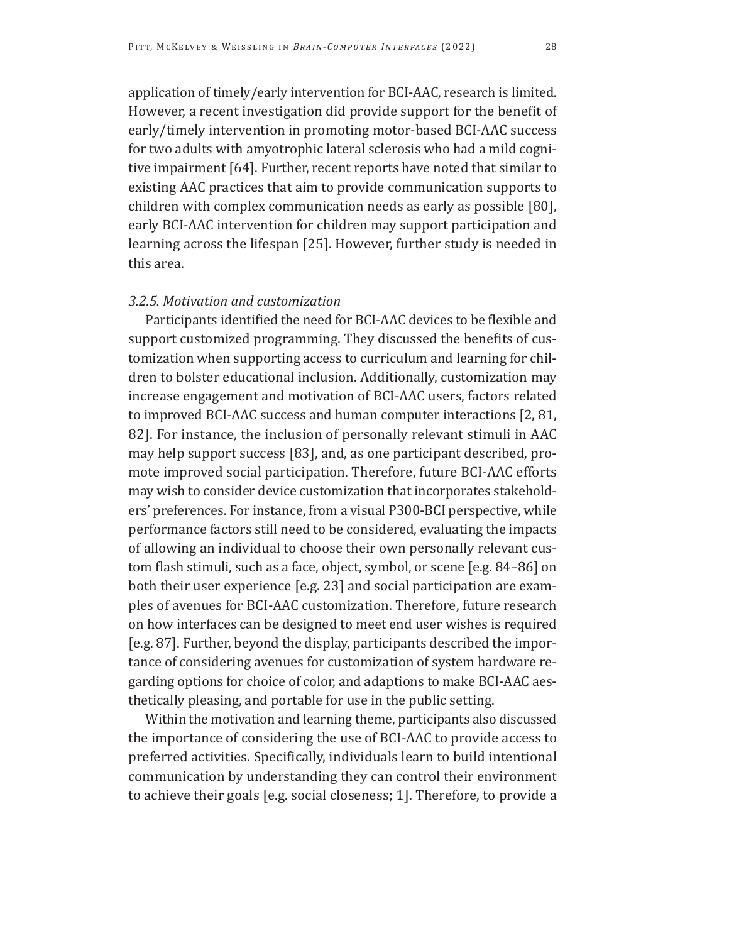application of timely/early intervention for BCI-AAC, research is limited. However, a recent investigation did provide support for the benefit of early/timely intervention in promoting motor-based BCI-AAC success for two adults with amyotrophic lateral sclerosis who had a mild cognitive impairment [64]. Further, recent reports have noted that similar to existing AAC practices that aim to provide communication supports to children with complex communication needs as early as possible [80], early BCI-AAC intervention for children may support participation and learning across the lifespan [25]. However, further study is needed in this area.

### *3.2.5. Motivation and customization*

Participants identified the need for BCI-AAC devices to be flexible and support customized programming. They discussed the benefits of customization when supporting access to curriculum and learning for children to bolster educational inclusion. Additionally, customization may increase engagement and motivation of BCI-AAC users, factors related to improved BCI-AAC success and human computer interactions [2, 81, 82]. For instance, the inclusion of personally relevant stimuli in AAC may help support success [83], and, as one participant described, promote improved social participation. Therefore, future BCI-AAC efforts may wish to consider device customization that incorporates stakeholders' preferences. For instance, from a visual P300-BCI perspective, while performance factors still need to be considered, evaluating the impacts of allowing an individual to choose their own personally relevant custom flash stimuli, such as a face, object, symbol, or scene [e.g. 84–86] on both their user experience [e.g. 23] and social participation are examples of avenues for BCI-AAC customization. Therefore, future research on how interfaces can be designed to meet end user wishes is required [e.g. 87]. Further, beyond the display, participants described the importance of considering avenues for customization of system hardware regarding options for choice of color, and adaptions to make BCI-AAC aesthetically pleasing, and portable for use in the public setting.

Within the motivation and learning theme, participants also discussed the importance of considering the use of BCI-AAC to provide access to preferred activities. Specifically, individuals learn to build intentional communication by understanding they can control their environment to achieve their goals [e.g. social closeness; 1]. Therefore, to provide a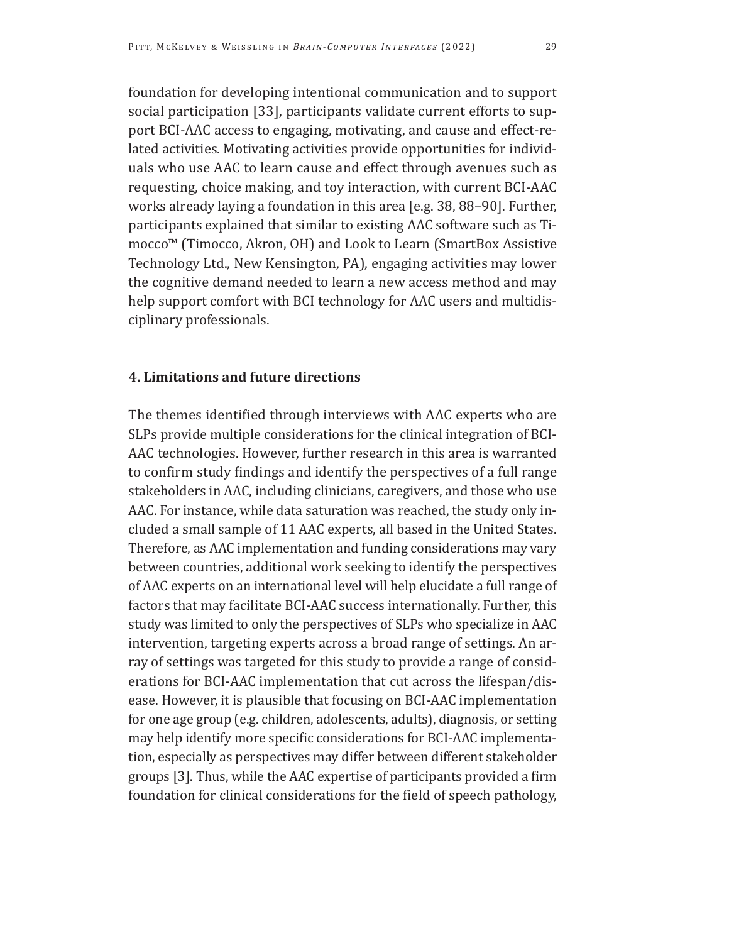foundation for developing intentional communication and to support social participation [33], participants validate current efforts to support BCI-AAC access to engaging, motivating, and cause and effect-related activities. Motivating activities provide opportunities for individuals who use AAC to learn cause and effect through avenues such as requesting, choice making, and toy interaction, with current BCI-AAC works already laying a foundation in this area [e.g. 38, 88–90]. Further, participants explained that similar to existing AAC software such as Timocco™ (Timocco, Akron, OH) and Look to Learn (SmartBox Assistive Technology Ltd., New Kensington, PA), engaging activities may lower the cognitive demand needed to learn a new access method and may help support comfort with BCI technology for AAC users and multidisciplinary professionals.

## **4. Limitations and future directions**

The themes identified through interviews with AAC experts who are SLPs provide multiple considerations for the clinical integration of BCI-AAC technologies. However, further research in this area is warranted to confirm study findings and identify the perspectives of a full range stakeholders in AAC, including clinicians, caregivers, and those who use AAC. For instance, while data saturation was reached, the study only included a small sample of 11 AAC experts, all based in the United States. Therefore, as AAC implementation and funding considerations may vary between countries, additional work seeking to identify the perspectives of AAC experts on an international level will help elucidate a full range of factors that may facilitate BCI-AAC success internationally. Further, this study was limited to only the perspectives of SLPs who specialize in AAC intervention, targeting experts across a broad range of settings. An array of settings was targeted for this study to provide a range of considerations for BCI-AAC implementation that cut across the lifespan/disease. However, it is plausible that focusing on BCI-AAC implementation for one age group (e.g. children, adolescents, adults), diagnosis, or setting may help identify more specific considerations for BCI-AAC implementation, especially as perspectives may differ between different stakeholder groups [3]. Thus, while the AAC expertise of participants provided a firm foundation for clinical considerations for the field of speech pathology,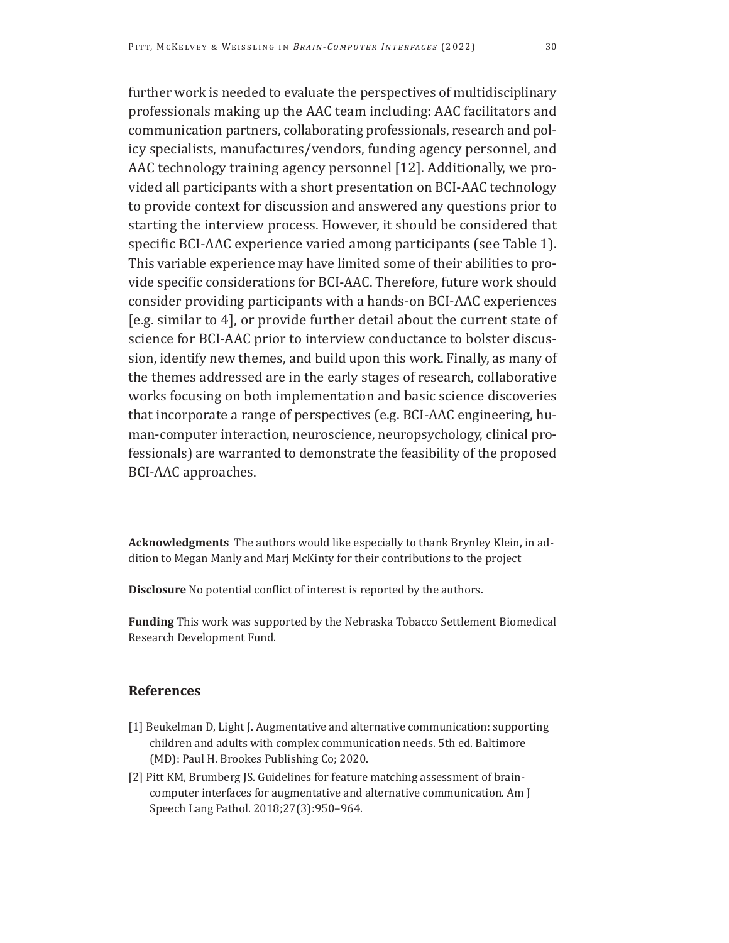further work is needed to evaluate the perspectives of multidisciplinary professionals making up the AAC team including: AAC facilitators and communication partners, collaborating professionals, research and policy specialists, manufactures/vendors, funding agency personnel, and AAC technology training agency personnel [12]. Additionally, we provided all participants with a short presentation on BCI-AAC technology to provide context for discussion and answered any questions prior to starting the interview process. However, it should be considered that specific BCI-AAC experience varied among participants (see Table 1). This variable experience may have limited some of their abilities to provide specific considerations for BCI-AAC. Therefore, future work should consider providing participants with a hands-on BCI-AAC experiences [e.g. similar to 4], or provide further detail about the current state of science for BCI-AAC prior to interview conductance to bolster discussion, identify new themes, and build upon this work. Finally, as many of the themes addressed are in the early stages of research, collaborative works focusing on both implementation and basic science discoveries that incorporate a range of perspectives (e.g. BCI-AAC engineering, human-computer interaction, neuroscience, neuropsychology, clinical professionals) are warranted to demonstrate the feasibility of the proposed BCI-AAC approaches.

**Acknowledgments** The authors would like especially to thank Brynley Klein, in addition to Megan Manly and Marj McKinty for their contributions to the project

**Disclosure** No potential conflict of interest is reported by the authors.

**Funding** This work was supported by the Nebraska Tobacco Settlement Biomedical Research Development Fund.

### **References**

- [1] Beukelman D, Light J. Augmentative and alternative communication: supporting children and adults with complex communication needs. 5th ed. Baltimore (MD): Paul H. Brookes Publishing Co; 2020.
- [2] Pitt KM, Brumberg JS. Guidelines for feature matching assessment of braincomputer interfaces for augmentative and alternative communication. Am J Speech Lang Pathol. 2018;27(3):950–964.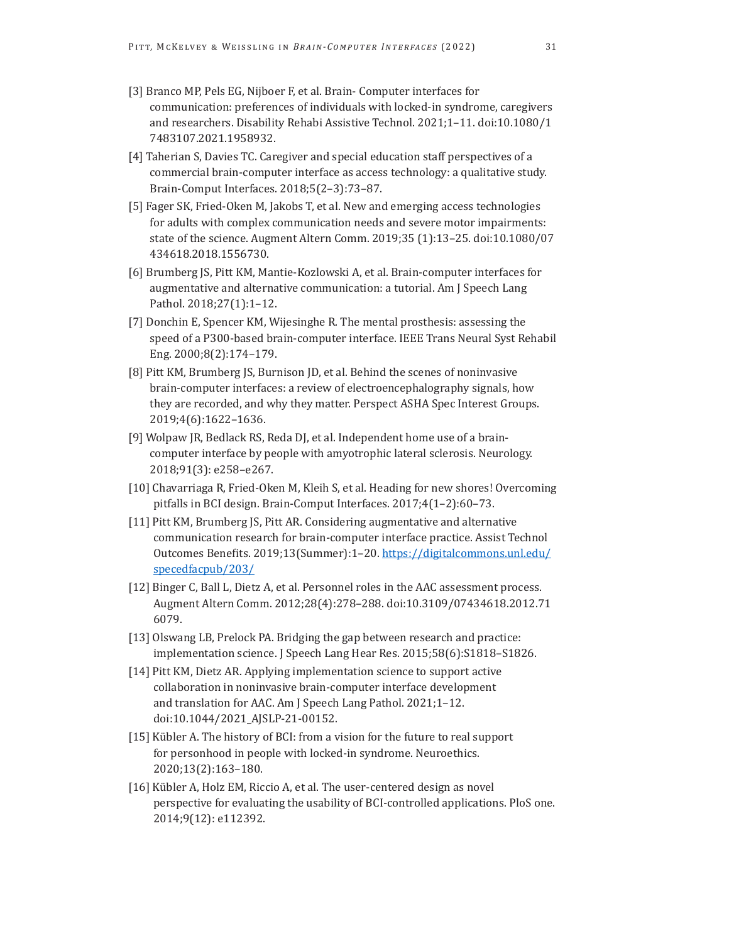- [3] Branco MP, Pels EG, Nijboer F, et al. Brain- Computer interfaces for communication: preferences of individuals with locked-in syndrome, caregivers and researchers. Disability Rehabi Assistive Technol. 2021;1–11. doi:10.1080/1 7483107.2021.1958932.
- [4] Taherian S, Davies TC. Caregiver and special education staff perspectives of a commercial brain-computer interface as access technology: a qualitative study. Brain-Comput Interfaces. 2018;5(2–3):73–87.
- [5] Fager SK, Fried-Oken M, Jakobs T, et al. New and emerging access technologies for adults with complex communication needs and severe motor impairments: state of the science. Augment Altern Comm. 2019;35 (1):13–25. doi:10.1080/07 434618.2018.1556730.
- [6] Brumberg JS, Pitt KM, Mantie-Kozlowski A, et al. Brain-computer interfaces for augmentative and alternative communication: a tutorial. Am J Speech Lang Pathol. 2018;27(1):1–12.
- [7] Donchin E, Spencer KM, Wijesinghe R. The mental prosthesis: assessing the speed of a P300-based brain-computer interface. IEEE Trans Neural Syst Rehabil Eng. 2000;8(2):174–179.
- [8] Pitt KM, Brumberg JS, Burnison JD, et al. Behind the scenes of noninvasive brain-computer interfaces: a review of electroencephalography signals, how they are recorded, and why they matter. Perspect ASHA Spec Interest Groups. 2019;4(6):1622–1636.
- [9] Wolpaw JR, Bedlack RS, Reda DJ, et al. Independent home use of a braincomputer interface by people with amyotrophic lateral sclerosis. Neurology. 2018;91(3): e258–e267.
- [10] Chavarriaga R, Fried-Oken M, Kleih S, et al. Heading for new shores! Overcoming pitfalls in BCI design. Brain-Comput Interfaces. 2017;4(1–2):60–73.
- [11] Pitt KM, Brumberg JS, Pitt AR. Considering augmentative and alternative communication research for brain-computer interface practice. Assist Technol Outcomes Benefits. 2019;13(Summer):1–20. [https://digitalcommons.unl.edu/](https://digitalcommons.unl.edu/specedfacpub/203/) [specedfacpub/203/](https://digitalcommons.unl.edu/specedfacpub/203/)
- [12] Binger C, Ball L, Dietz A, et al. Personnel roles in the AAC assessment process. Augment Altern Comm. 2012;28(4):278–288. doi:10.3109/07434618.2012.71 6079.
- [13] Olswang LB, Prelock PA. Bridging the gap between research and practice: implementation science. J Speech Lang Hear Res. 2015;58(6):S1818–S1826.
- [14] Pitt KM, Dietz AR. Applying implementation science to support active collaboration in noninvasive brain-computer interface development and translation for AAC. Am J Speech Lang Pathol. 2021;1–12. doi:10.1044/2021\_AJSLP-21-00152.
- [15] Kübler A. The history of BCI: from a vision for the future to real support for personhood in people with locked-in syndrome. Neuroethics. 2020;13(2):163–180.
- [16] Kübler A, Holz EM, Riccio A, et al. The user-centered design as novel perspective for evaluating the usability of BCI-controlled applications. PloS one. 2014;9(12): e112392.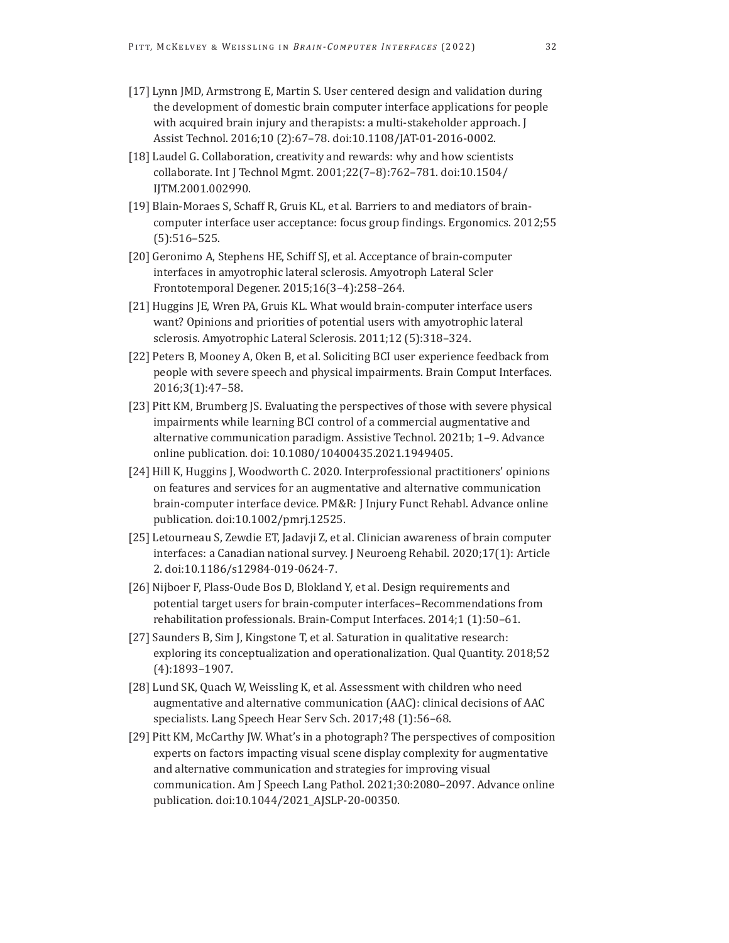- [17] Lynn JMD, Armstrong E, Martin S. User centered design and validation during the development of domestic brain computer interface applications for people with acquired brain injury and therapists: a multi-stakeholder approach. J Assist Technol. 2016;10 (2):67–78. doi:10.1108/JAT-01-2016-0002.
- [18] Laudel G. Collaboration, creativity and rewards: why and how scientists collaborate. Int J Technol Mgmt. 2001;22(7–8):762–781. doi:10.1504/ IJTM.2001.002990.
- [19] Blain-Moraes S, Schaff R, Gruis KL, et al. Barriers to and mediators of braincomputer interface user acceptance: focus group findings. Ergonomics. 2012;55 (5):516–525.
- [20] Geronimo A, Stephens HE, Schiff SJ, et al. Acceptance of brain-computer interfaces in amyotrophic lateral sclerosis. Amyotroph Lateral Scler Frontotemporal Degener. 2015;16(3–4):258–264.
- [21] Huggins JE, Wren PA, Gruis KL. What would brain-computer interface users want? Opinions and priorities of potential users with amyotrophic lateral sclerosis. Amyotrophic Lateral Sclerosis. 2011;12 (5):318–324.
- [22] Peters B, Mooney A, Oken B, et al. Soliciting BCI user experience feedback from people with severe speech and physical impairments. Brain Comput Interfaces. 2016;3(1):47–58.
- [23] Pitt KM, Brumberg JS. Evaluating the perspectives of those with severe physical impairments while learning BCI control of a commercial augmentative and alternative communication paradigm. Assistive Technol. 2021b; 1–9. Advance online publication. doi: 10.1080/10400435.2021.1949405.
- [24] Hill K, Huggins J, Woodworth C. 2020. Interprofessional practitioners' opinions on features and services for an augmentative and alternative communication brain-computer interface device. PM&R: J Injury Funct Rehabl. Advance online publication. doi:10.1002/pmrj.12525.
- [25] Letourneau S, Zewdie ET, Jadavji Z, et al. Clinician awareness of brain computer interfaces: a Canadian national survey. J Neuroeng Rehabil. 2020;17(1): Article 2. doi:10.1186/s12984-019-0624-7.
- [26] Nijboer F, Plass-Oude Bos D, Blokland Y, et al. Design requirements and potential target users for brain-computer interfaces–Recommendations from rehabilitation professionals. Brain-Comput Interfaces. 2014;1 (1):50–61.
- [27] Saunders B, Sim J, Kingstone T, et al. Saturation in qualitative research: exploring its conceptualization and operationalization. Qual Quantity. 2018;52 (4):1893–1907.
- [28] Lund SK, Quach W, Weissling K, et al. Assessment with children who need augmentative and alternative communication (AAC): clinical decisions of AAC specialists. Lang Speech Hear Serv Sch. 2017;48 (1):56–68.
- [29] Pitt KM, McCarthy JW. What's in a photograph? The perspectives of composition experts on factors impacting visual scene display complexity for augmentative and alternative communication and strategies for improving visual communication. Am J Speech Lang Pathol. 2021;30:2080–2097. Advance online publication. doi:10.1044/2021\_AJSLP-20-00350.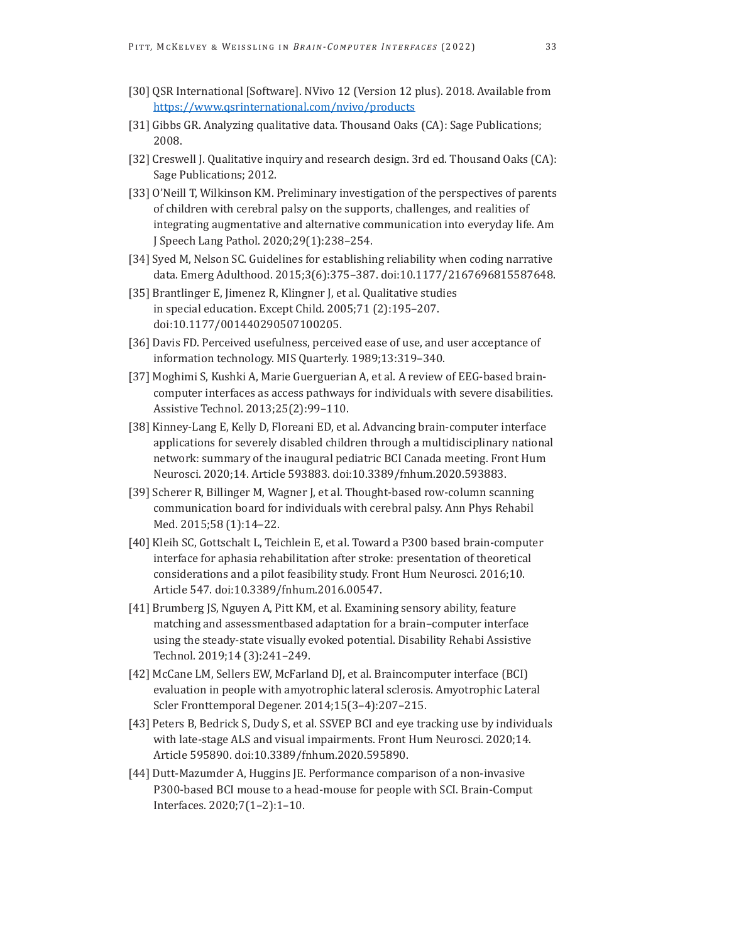- [30] QSR International [Software]. NVivo 12 (Version 12 plus). 2018. Available from <https://www.qsrinternational.com/nvivo/products>
- [31] Gibbs GR. Analyzing qualitative data. Thousand Oaks (CA): Sage Publications; 2008.
- [32] Creswell J. Qualitative inquiry and research design. 3rd ed. Thousand Oaks (CA): Sage Publications; 2012.
- [33] O'Neill T, Wilkinson KM. Preliminary investigation of the perspectives of parents of children with cerebral palsy on the supports, challenges, and realities of integrating augmentative and alternative communication into everyday life. Am J Speech Lang Pathol. 2020;29(1):238–254.
- [34] Syed M, Nelson SC. Guidelines for establishing reliability when coding narrative data. Emerg Adulthood. 2015;3(6):375–387. doi:10.1177/2167696815587648.
- [35] Brantlinger E, Jimenez R, Klingner J, et al. Qualitative studies in special education. Except Child. 2005;71 (2):195–207. doi:10.1177/001440290507100205.
- [36] Davis FD. Perceived usefulness, perceived ease of use, and user acceptance of information technology. MIS Quarterly. 1989;13:319–340.
- [37] Moghimi S, Kushki A, Marie Guerguerian A, et al. A review of EEG-based braincomputer interfaces as access pathways for individuals with severe disabilities. Assistive Technol. 2013;25(2):99–110.
- [38] Kinney-Lang E, Kelly D, Floreani ED, et al. Advancing brain-computer interface applications for severely disabled children through a multidisciplinary national network: summary of the inaugural pediatric BCI Canada meeting. Front Hum Neurosci. 2020;14. Article 593883. doi:10.3389/fnhum.2020.593883.
- [39] Scherer R, Billinger M, Wagner J, et al. Thought-based row-column scanning communication board for individuals with cerebral palsy. Ann Phys Rehabil Med. 2015;58 (1):14–22.
- [40] Kleih SC, Gottschalt L, Teichlein E, et al. Toward a P300 based brain-computer interface for aphasia rehabilitation after stroke: presentation of theoretical considerations and a pilot feasibility study. Front Hum Neurosci. 2016;10. Article 547. doi:10.3389/fnhum.2016.00547.
- [41] Brumberg JS, Nguyen A, Pitt KM, et al. Examining sensory ability, feature matching and assessmentbased adaptation for a brain–computer interface using the steady-state visually evoked potential. Disability Rehabi Assistive Technol. 2019;14 (3):241–249.
- [42] McCane LM, Sellers EW, McFarland DJ, et al. Braincomputer interface (BCI) evaluation in people with amyotrophic lateral sclerosis. Amyotrophic Lateral Scler Fronttemporal Degener. 2014;15(3–4):207–215.
- [43] Peters B, Bedrick S, Dudy S, et al. SSVEP BCI and eye tracking use by individuals with late-stage ALS and visual impairments. Front Hum Neurosci. 2020;14. Article 595890. doi:10.3389/fnhum.2020.595890.
- [44] Dutt-Mazumder A, Huggins JE. Performance comparison of a non-invasive P300-based BCI mouse to a head-mouse for people with SCI. Brain-Comput Interfaces. 2020;7(1–2):1–10.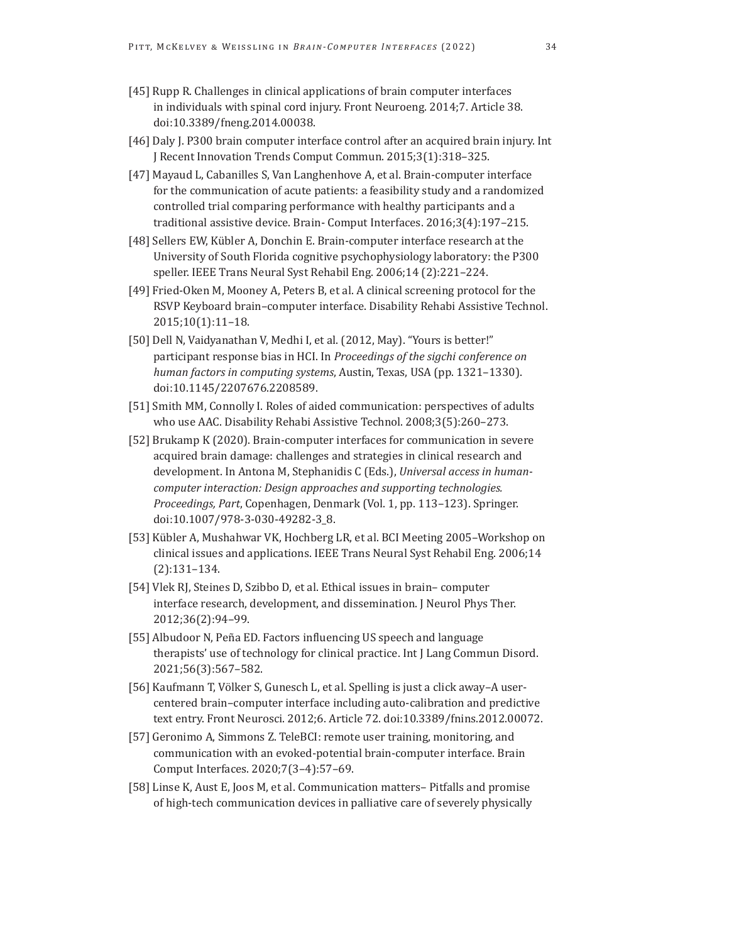- [45] Rupp R. Challenges in clinical applications of brain computer interfaces in individuals with spinal cord injury. Front Neuroeng. 2014;7. Article 38. doi:10.3389/fneng.2014.00038.
- [46] Daly J. P300 brain computer interface control after an acquired brain injury. Int J Recent Innovation Trends Comput Commun. 2015;3(1):318–325.
- [47] Mayaud L, Cabanilles S, Van Langhenhove A, et al. Brain-computer interface for the communication of acute patients: a feasibility study and a randomized controlled trial comparing performance with healthy participants and a traditional assistive device. Brain- Comput Interfaces. 2016;3(4):197–215.
- [48] Sellers EW, Kübler A, Donchin E. Brain-computer interface research at the University of South Florida cognitive psychophysiology laboratory: the P300 speller. IEEE Trans Neural Syst Rehabil Eng. 2006;14 (2):221–224.
- [49] Fried-Oken M, Mooney A, Peters B, et al. A clinical screening protocol for the RSVP Keyboard brain–computer interface. Disability Rehabi Assistive Technol. 2015;10(1):11–18.
- [50] Dell N, Vaidyanathan V, Medhi I, et al. (2012, May). "Yours is better!" participant response bias in HCI. In *Proceedings of the sigchi conference on human factors in computing systems*, Austin, Texas, USA (pp. 1321–1330). doi:10.1145/2207676.2208589.
- [51] Smith MM, Connolly I. Roles of aided communication: perspectives of adults who use AAC. Disability Rehabi Assistive Technol. 2008;3(5):260–273.
- [52] Brukamp K (2020). Brain-computer interfaces for communication in severe acquired brain damage: challenges and strategies in clinical research and development. In Antona M, Stephanidis C (Eds.), *Universal access in humancomputer interaction: Design approaches and supporting technologies. Proceedings, Part*, Copenhagen, Denmark (Vol. 1, pp. 113–123). Springer. doi:10.1007/978-3-030-49282-3\_8.
- [53] Kübler A, Mushahwar VK, Hochberg LR, et al. BCI Meeting 2005–Workshop on clinical issues and applications. IEEE Trans Neural Syst Rehabil Eng. 2006;14 (2):131–134.
- [54] Vlek RJ, Steines D, Szibbo D, et al. Ethical issues in brain– computer interface research, development, and dissemination. J Neurol Phys Ther. 2012;36(2):94–99.
- [55] Albudoor N, Peña ED. Factors influencing US speech and language therapists' use of technology for clinical practice. Int J Lang Commun Disord. 2021;56(3):567–582.
- [56] Kaufmann T, Völker S, Gunesch L, et al. Spelling is just a click away–A usercentered brain–computer interface including auto-calibration and predictive text entry. Front Neurosci. 2012;6. Article 72. doi:10.3389/fnins.2012.00072.
- [57] Geronimo A, Simmons Z. TeleBCI: remote user training, monitoring, and communication with an evoked-potential brain-computer interface. Brain Comput Interfaces. 2020;7(3–4):57–69.
- [58] Linse K, Aust E, Joos M, et al. Communication matters– Pitfalls and promise of high-tech communication devices in palliative care of severely physically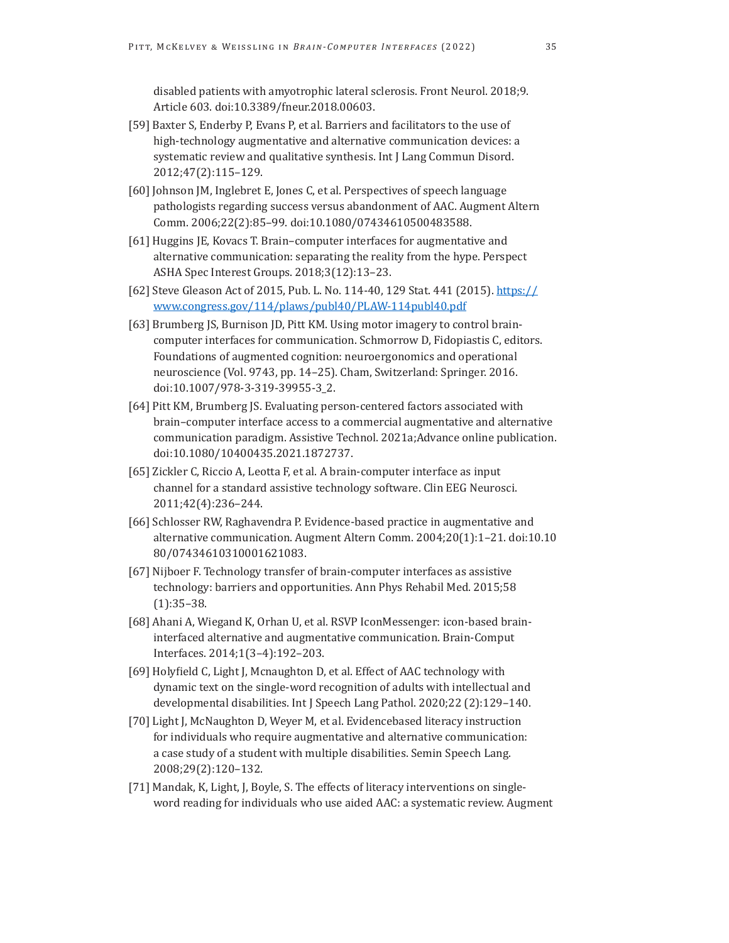disabled patients with amyotrophic lateral sclerosis. Front Neurol. 2018;9. Article 603. doi:10.3389/fneur.2018.00603.

- [59] Baxter S, Enderby P, Evans P, et al. Barriers and facilitators to the use of high-technology augmentative and alternative communication devices: a systematic review and qualitative synthesis. Int J Lang Commun Disord. 2012;47(2):115–129.
- [60] Johnson JM, Inglebret E, Jones C, et al. Perspectives of speech language pathologists regarding success versus abandonment of AAC. Augment Altern Comm. 2006;22(2):85–99. doi:10.1080/07434610500483588.
- [61] Huggins JE, Kovacs T. Brain–computer interfaces for augmentative and alternative communication: separating the reality from the hype. Perspect ASHA Spec Interest Groups. 2018;3(12):13–23.
- [62] Steve Gleason Act of 2015, Pub. L. No. 114-40, 129 Stat. 441 (2015). [https://](https://www.congress.gov/114/plaws/publ40/PLAW-114publ40.pdf) [www.congress.gov/114/plaws/publ40/PLAW-114publ40.pdf](https://www.congress.gov/114/plaws/publ40/PLAW-114publ40.pdf)
- [63] Brumberg JS, Burnison JD, Pitt KM. Using motor imagery to control braincomputer interfaces for communication. Schmorrow D, Fidopiastis C, editors. Foundations of augmented cognition: neuroergonomics and operational neuroscience (Vol. 9743, pp. 14–25). Cham, Switzerland: Springer. 2016. doi:10.1007/978-3-319-39955-3\_2.
- [64] Pitt KM, Brumberg JS. Evaluating person-centered factors associated with brain–computer interface access to a commercial augmentative and alternative communication paradigm. Assistive Technol. 2021a;Advance online publication. doi:10.1080/10400435.2021.1872737.
- [65] Zickler C, Riccio A, Leotta F, et al. A brain-computer interface as input channel for a standard assistive technology software. Clin EEG Neurosci. 2011;42(4):236–244.
- [66] Schlosser RW, Raghavendra P. Evidence-based practice in augmentative and alternative communication. Augment Altern Comm. 2004;20(1):1–21. doi:10.10 80/07434610310001621083.
- [67] Nijboer F. Technology transfer of brain-computer interfaces as assistive technology: barriers and opportunities. Ann Phys Rehabil Med. 2015;58 (1):35–38.
- [68] Ahani A, Wiegand K, Orhan U, et al. RSVP IconMessenger: icon-based braininterfaced alternative and augmentative communication. Brain-Comput Interfaces. 2014;1(3–4):192–203.
- [69] Holyfield C, Light J, Mcnaughton D, et al. Effect of AAC technology with dynamic text on the single-word recognition of adults with intellectual and developmental disabilities. Int J Speech Lang Pathol. 2020;22 (2):129–140.
- [70] Light J, McNaughton D, Weyer M, et al. Evidencebased literacy instruction for individuals who require augmentative and alternative communication: a case study of a student with multiple disabilities. Semin Speech Lang. 2008;29(2):120–132.
- [71] Mandak, K, Light, J, Boyle, S. The effects of literacy interventions on singleword reading for individuals who use aided AAC: a systematic review. Augment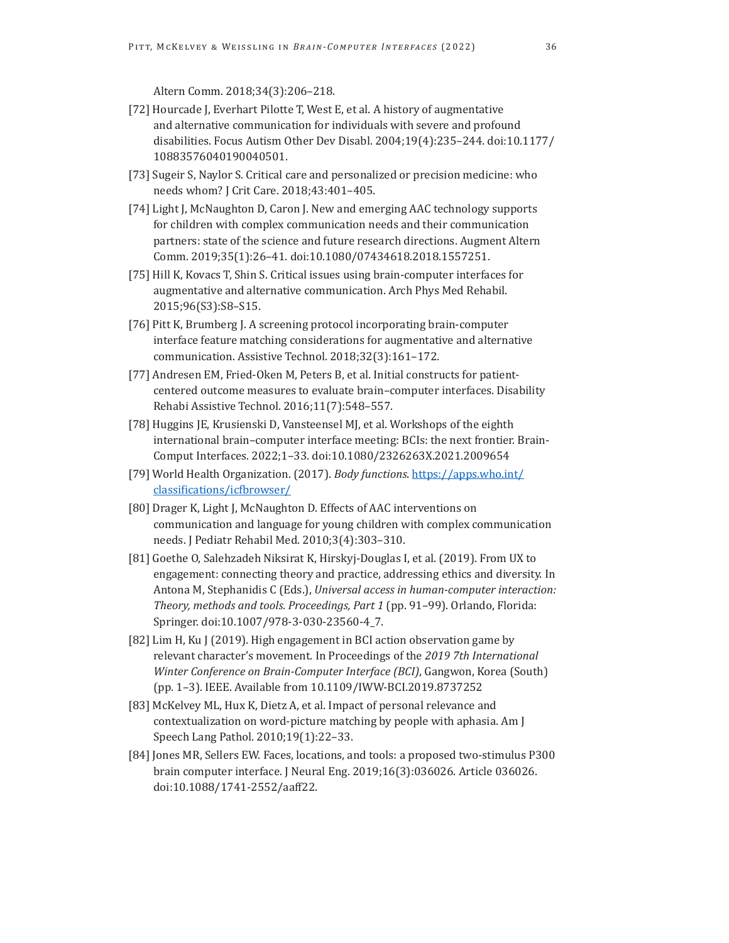Altern Comm. 2018;34(3):206–218.

- [72] Hourcade J, Everhart Pilotte T, West E, et al. A history of augmentative and alternative communication for individuals with severe and profound disabilities. Focus Autism Other Dev Disabl. 2004;19(4):235–244. doi:10.1177/ 10883576040190040501.
- [73] Sugeir S, Naylor S. Critical care and personalized or precision medicine: who needs whom? J Crit Care. 2018;43:401–405.
- [74] Light J, McNaughton D, Caron J. New and emerging AAC technology supports for children with complex communication needs and their communication partners: state of the science and future research directions. Augment Altern Comm. 2019;35(1):26–41. doi:10.1080/07434618.2018.1557251.
- [75] Hill K, Kovacs T, Shin S. Critical issues using brain-computer interfaces for augmentative and alternative communication. Arch Phys Med Rehabil. 2015;96(S3):S8–S15.
- [76] Pitt K, Brumberg J. A screening protocol incorporating brain-computer interface feature matching considerations for augmentative and alternative communication. Assistive Technol. 2018;32(3):161–172.
- [77] Andresen EM, Fried-Oken M, Peters B, et al. Initial constructs for patientcentered outcome measures to evaluate brain–computer interfaces. Disability Rehabi Assistive Technol. 2016;11(7):548–557.
- [78] Huggins JE, Krusienski D, Vansteensel MJ, et al. Workshops of the eighth international brain–computer interface meeting: BCIs: the next frontier. Brain-Comput Interfaces. 2022;1–33. doi:10.1080/2326263X.2021.2009654
- [79] World Health Organization. (2017). *Body functions*. [https://apps.who.int/](https://apps.who.int/classifications/icfbrowser/) [classifications/icfbrowser/](https://apps.who.int/classifications/icfbrowser/)
- [80] Drager K, Light J, McNaughton D. Effects of AAC interventions on communication and language for young children with complex communication needs. J Pediatr Rehabil Med. 2010;3(4):303–310.
- [81] Goethe O, Salehzadeh Niksirat K, Hirskyj-Douglas I, et al. (2019). From UX to engagement: connecting theory and practice, addressing ethics and diversity. In Antona M, Stephanidis C (Eds.), *Universal access in human-computer interaction: Theory, methods and tools. Proceedings, Part 1* (pp. 91–99). Orlando, Florida: Springer. doi:10.1007/978-3-030-23560-4\_7.
- [82] Lim H, Ku J (2019). High engagement in BCI action observation game by relevant character's movement. In Proceedings of the *2019 7th International Winter Conference on Brain-Computer Interface (BCI)*, Gangwon, Korea (South) (pp. 1–3). IEEE. Available from 10.1109/IWW-BCI.2019.8737252
- [83] McKelvey ML, Hux K, Dietz A, et al. Impact of personal relevance and contextualization on word-picture matching by people with aphasia. Am J Speech Lang Pathol. 2010;19(1):22–33.
- [84] Jones MR, Sellers EW. Faces, locations, and tools: a proposed two-stimulus P300 brain computer interface. J Neural Eng. 2019;16(3):036026. Article 036026. doi:10.1088/1741-2552/aaff22.